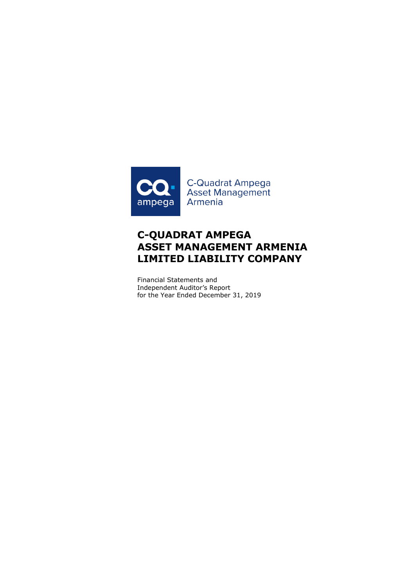

C-Quadrat Ampega<br>Asset Management Armenia

# **C-QUADRAT AMPEGA ASSET MANAGEMENT ARMENIA LIMITED LIABILITY COMPANY**

Financial Statements and Independent Auditor's Report for the Year Ended December 31, 2019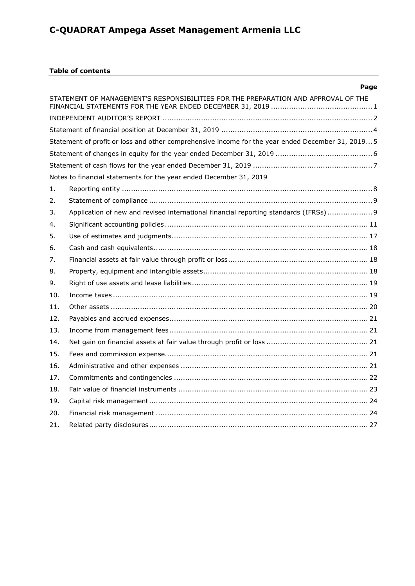# **Table of contents**

|     |                                                                                                   | Page |
|-----|---------------------------------------------------------------------------------------------------|------|
|     | STATEMENT OF MANAGEMENT'S RESPONSIBILITIES FOR THE PREPARATION AND APPROVAL OF THE                |      |
|     |                                                                                                   |      |
|     |                                                                                                   |      |
|     | Statement of profit or loss and other comprehensive income for the year ended December 31, 2019 5 |      |
|     |                                                                                                   |      |
|     |                                                                                                   |      |
|     | Notes to financial statements for the year ended December 31, 2019                                |      |
| 1.  |                                                                                                   |      |
| 2.  |                                                                                                   |      |
| 3.  | Application of new and revised international financial reporting standards (IFRSs) 9              |      |
| 4.  |                                                                                                   |      |
| 5.  |                                                                                                   |      |
| 6.  |                                                                                                   |      |
| 7.  |                                                                                                   |      |
| 8.  |                                                                                                   |      |
| 9.  |                                                                                                   |      |
| 10. |                                                                                                   |      |
| 11. |                                                                                                   |      |
| 12. |                                                                                                   |      |
| 13. |                                                                                                   |      |
| 14. |                                                                                                   |      |
| 15. |                                                                                                   |      |
| 16. |                                                                                                   |      |
| 17. |                                                                                                   |      |
| 18. |                                                                                                   |      |
| 19. |                                                                                                   |      |
| 20. |                                                                                                   |      |
| 21. |                                                                                                   |      |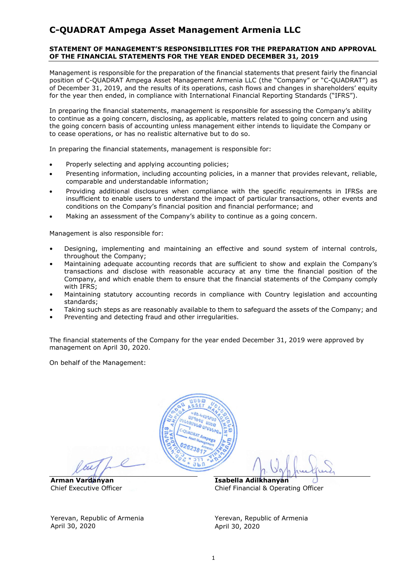### <span id="page-2-0"></span>**STATEMENT OF MANAGEMENT'S RESPONSIBILITIES FOR THE PREPARATION AND APPROVAL OF THE FINANCIAL STATEMENTS FOR THE YEAR ENDED DECEMBER 31, 2019**

Management is responsible for the preparation of the financial statements that present fairly the financial position of C-QUADRAT Ampega Asset Management Armenia LLC (the "Company" or "C-QUADRAT") as of December 31, 2019, and the results of its operations, cash flows and changes in shareholders' equity for the year then ended, in compliance with International Financial Reporting Standards ("IFRS").

In preparing the financial statements, management is responsible for assessing the Company's ability to continue as a going concern, disclosing, as applicable, matters related to going concern and using the going concern basis of accounting unless management either intends to liquidate the Company or to cease operations, or has no realistic alternative but to do so.

In preparing the financial statements, management is responsible for:

- Properly selecting and applying accounting policies;
- Presenting information, including accounting policies, in a manner that provides relevant, reliable, comparable and understandable information;
- Providing additional disclosures when compliance with the specific requirements in IFRSs are insufficient to enable users to understand the impact of particular transactions, other events and conditions on the Company's financial position and financial performance; and
- Making an assessment of the Company's ability to continue as a going concern.

Management is also responsible for:

- Designing, implementing and maintaining an effective and sound system of internal controls, throughout the Company;
- Maintaining adequate accounting records that are sufficient to show and explain the Company's transactions and disclose with reasonable accuracy at any time the financial position of the Company, and which enable them to ensure that the financial statements of the Company comply with IFRS;
- Maintaining statutory accounting records in compliance with Country legislation and accounting standards;
- Taking such steps as are reasonably available to them to safeguard the assets of the Company; and
- Preventing and detecting fraud and other irregularities.

The financial statements of the Company for the year ended December 31, 2019 were approved by management on April 30, 2020.

On behalf of the Management:



**Arman Vardanyan** Chief Executive Officer

Yerevan, Republic of Armenia April 30, 2020

**Isabella Adilkhanyan** Chief Financial & Operating Officer

Yerevan, Republic of Armenia April 30, 2020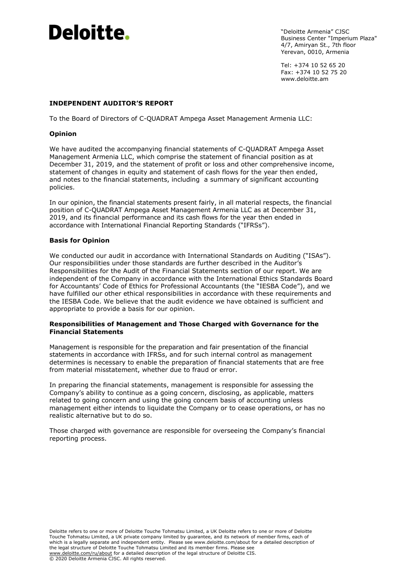

"Deloitte Armenia" CJSC Business Center "Imperium Plaza" 4/7, Amiryan St., 7th floor Yerevan, 0010, Armenia

Tel: +374 10 52 65 20 Fax: +374 10 52 75 20 www.deloitte.am

### <span id="page-3-0"></span>**INDEPENDENT AUDITOR'S REPORT**

To the Board of Directors of C-QUADRAT Ampega Asset Management Armenia LLC:

#### **Opinion**

We have audited the accompanying financial statements of C-QUADRAT Ampega Asset Management Armenia LLC, which comprise the statement of financial position as at December 31, 2019, and the statement of profit or loss and other comprehensive income, statement of changes in equity and statement of cash flows for the year then ended, and notes to the financial statements, including a summary of significant accounting policies.

In our opinion, the financial statements present fairly, in all material respects, the financial position of C-QUADRAT Ampega Asset Management Armenia LLC as at December 31, 2019, and its financial performance and its cash flows for the year then ended in accordance with International Financial Reporting Standards ("IFRSs").

#### **Basis for Opinion**

We conducted our audit in accordance with International Standards on Auditing ("ISAs"). Our responsibilities under those standards are further described in the Auditor's Responsibilities for the Audit of the Financial Statements section of our report. We are independent of the Company in accordance with the International Ethics Standards Board for Accountants' Code of Ethics for Professional Accountants (the "IESBA Code"), and we have fulfilled our other ethical responsibilities in accordance with these requirements and the IESBA Code. We believe that the audit evidence we have obtained is sufficient and appropriate to provide a basis for our opinion.

#### **Responsibilities of Management and Those Charged with Governance for the Financial Statements**

Management is responsible for the preparation and fair presentation of the financial statements in accordance with IFRSs, and for such internal control as management determines is necessary to enable the preparation of financial statements that are free from material misstatement, whether due to fraud or error.

In preparing the financial statements, management is responsible for assessing the Company's ability to continue as a going concern, disclosing, as applicable, matters related to going concern and using the going concern basis of accounting unless management either intends to liquidate the Company or to cease operations, or has no realistic alternative but to do so.

Those charged with governance are responsible for overseeing the Company's financial reporting process.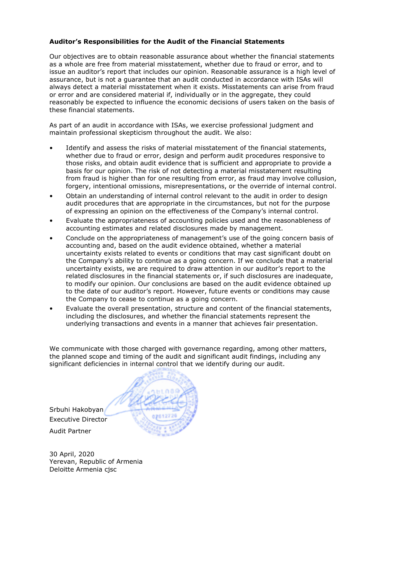### **Auditor's Responsibilities for the Audit of the Financial Statements**

Our objectives are to obtain reasonable assurance about whether the financial statements as a whole are free from material misstatement, whether due to fraud or error, and to issue an auditor's report that includes our opinion. Reasonable assurance is a high level of assurance, but is not a guarantee that an audit conducted in accordance with ISAs will always detect a material misstatement when it exists. Misstatements can arise from fraud or error and are considered material if, individually or in the aggregate, they could reasonably be expected to influence the economic decisions of users taken on the basis of these financial statements.

As part of an audit in accordance with ISAs, we exercise professional judgment and maintain professional skepticism throughout the audit. We also:

- Identify and assess the risks of material misstatement of the financial statements, whether due to fraud or error, design and perform audit procedures responsive to those risks, and obtain audit evidence that is sufficient and appropriate to provide a basis for our opinion. The risk of not detecting a material misstatement resulting from fraud is higher than for one resulting from error, as fraud may involve collusion, forgery, intentional omissions, misrepresentations, or the override of internal control.
- Obtain an understanding of internal control relevant to the audit in order to design audit procedures that are appropriate in the circumstances, but not for the purpose of expressing an opinion on the effectiveness of the Company's internal control.
- Evaluate the appropriateness of accounting policies used and the reasonableness of accounting estimates and related disclosures made by management.
- Conclude on the appropriateness of management's use of the going concern basis of accounting and, based on the audit evidence obtained, whether a material uncertainty exists related to events or conditions that may cast significant doubt on the Company's ability to continue as a going concern. If we conclude that a material uncertainty exists, we are required to draw attention in our auditor's report to the related disclosures in the financial statements or, if such disclosures are inadequate, to modify our opinion. Our conclusions are based on the audit evidence obtained up to the date of our auditor's report. However, future events or conditions may cause the Company to cease to continue as a going concern.
- Evaluate the overall presentation, structure and content of the financial statements, including the disclosures, and whether the financial statements represent the underlying transactions and events in a manner that achieves fair presentation.

We communicate with those charged with governance regarding, among other matters, the planned scope and timing of the audit and significant audit findings, including any significant deficiencies in internal control that we identify during our audit.

Srbuhi Hakobyan Executive Director

Audit Partner

30 April, 2020 Yerevan, Republic of Armenia Deloitte Armenia cjsc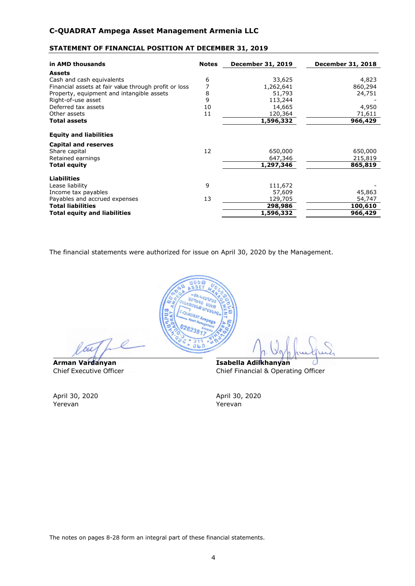# <span id="page-5-0"></span>**STATEMENT OF FINANCIAL POSITION AT DECEMBER 31, 2019**

| in AMD thousands                                                                                                        | <b>Notes</b> | <b>December 31, 2019</b>                  | <b>December 31, 2018</b> |
|-------------------------------------------------------------------------------------------------------------------------|--------------|-------------------------------------------|--------------------------|
| <b>Assets</b>                                                                                                           |              |                                           |                          |
| Cash and cash equivalents                                                                                               | 6            | 33,625                                    | 4,823                    |
| Financial assets at fair value through profit or loss                                                                   | 7            | 1,262,641                                 | 860,294                  |
| Property, equipment and intangible assets                                                                               | 8            | 51,793                                    | 24,751                   |
| Right-of-use asset                                                                                                      | 9            | 113,244                                   |                          |
| Deferred tax assets                                                                                                     | 10           | 14,665                                    | 4,950                    |
| Other assets                                                                                                            | 11           | 120,364                                   | 71,611                   |
| <b>Total assets</b>                                                                                                     |              | 1,596,332                                 | 966,429                  |
| <b>Equity and liabilities</b>                                                                                           |              |                                           |                          |
| <b>Capital and reserves</b>                                                                                             |              |                                           |                          |
| Share capital                                                                                                           | 12           | 650,000                                   | 650,000                  |
| Retained earnings                                                                                                       |              | 647,346                                   | 215,819                  |
| Total equity                                                                                                            |              | 1,297,346                                 | 865,819                  |
| <b>Liabilities</b>                                                                                                      |              |                                           |                          |
| Lease liability                                                                                                         | 9            | 111,672                                   |                          |
|                                                                                                                         |              |                                           | 45,863                   |
|                                                                                                                         |              |                                           | 54,747                   |
|                                                                                                                         |              |                                           | 100,610                  |
|                                                                                                                         |              |                                           | 966,429                  |
| Income tax payables<br>Payables and accrued expenses<br><b>Total liabilities</b><br><b>Total equity and liabilities</b> | 13           | 57,609<br>129,705<br>298,986<br>1,596,332 |                          |

The financial statements were authorized for issue on April 30, 2020 by the Management.



**Arman Vardanyan** Chief Executive Officer

**Isabella Adilkhanyan** Chief Financial & Operating Officer

April 30, 2020 Yerevan

April 30, 2020 Yerevan

The notes on pages 8-28 form an integral part of these financial statements.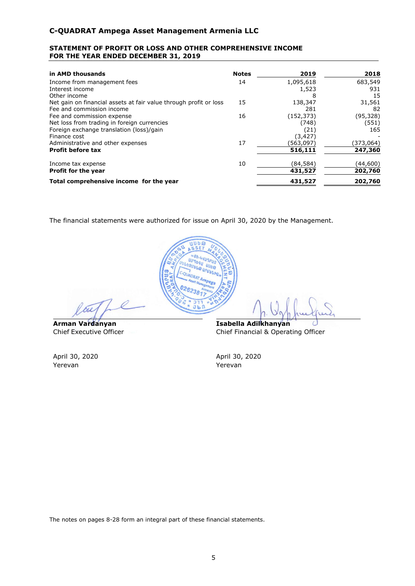### <span id="page-6-1"></span><span id="page-6-0"></span>**STATEMENT OF PROFIT OR LOSS AND OTHER COMPREHENSIVE INCOME FOR THE YEAR ENDED DECEMBER 31, 2019**

| in AMD thousands                                                  | <b>Notes</b> | 2019       | 2018      |
|-------------------------------------------------------------------|--------------|------------|-----------|
| Income from management fees                                       | 14           | 1,095,618  | 683,549   |
| Interest income                                                   |              | 1,523      | 931       |
| Other income                                                      |              | 8          | 15        |
| Net gain on financial assets at fair value through profit or loss | 15           | 138,347    | 31,561    |
| Fee and commission income                                         |              | 281        | 82        |
| Fee and commission expense                                        | 16           | (152, 373) | (95, 328) |
| Net loss from trading in foreign currencies                       |              | (748)      | (551)     |
| Foreign exchange translation (loss)/gain                          |              | (21)       | 165       |
| Finance cost                                                      |              | (3,427)    |           |
| Administrative and other expenses                                 | 17           | (563,097)  | (373,064) |
| <b>Profit before tax</b>                                          |              | 516,111    | 247,360   |
| Income tax expense                                                | 10           | (84,584)   | (44,600)  |
| <b>Profit for the year</b>                                        |              | 431,527    | 202,760   |
| Total comprehensive income for the year                           |              | 431,527    | 202,760   |

The financial statements were authorized for issue on April 30, 2020 by the Management.



**Isabella Adilkhanyan** Chief Financial & Operating Officer

April 30, 2020 Yerevan

**Arman Vardanyan** Chief Executive Officer

April 30, 2020 Yerevan

The notes on pages 8-28 form an integral part of these financial statements.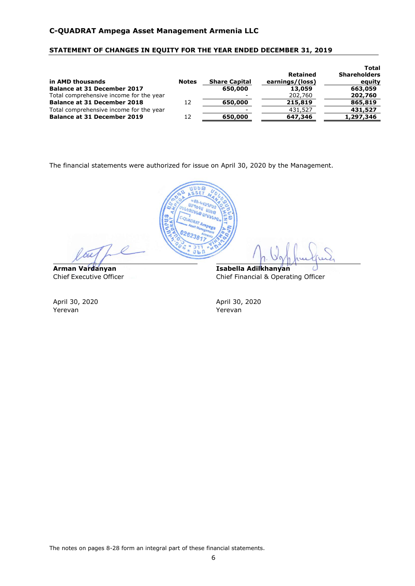# <span id="page-7-0"></span>**STATEMENT OF CHANGES IN EQUITY FOR THE YEAR ENDED DECEMBER 31, 2019**

| in AMD thousands                        | <b>Notes</b> | <b>Share Capital</b> | Retained<br>earnings/(loss) | <b>Total</b><br><b>Shareholders</b><br>equity |
|-----------------------------------------|--------------|----------------------|-----------------------------|-----------------------------------------------|
| <b>Balance at 31 December 2017</b>      |              | 650,000              | 13,059                      | 663,059                                       |
| Total comprehensive income for the year |              |                      | 202,760                     | 202,760                                       |
| <b>Balance at 31 December 2018</b>      | 12           | 650,000              | 215,819                     | 865,819                                       |
| Total comprehensive income for the year |              |                      | 431,527                     | 431,527                                       |
| <b>Balance at 31 December 2019</b>      | 12           | 650,000              | 647,346                     | 1,297,346                                     |

The financial statements were authorized for issue on April 30, 2020 by the Management.

<span id="page-7-1"></span>

**Arman Vardanyan** Chief Executive Officer

April 30, 2020 Yerevan

**Isabella Adilkhanyan** Chief Financial & Operating Officer

April 30, 2020 Yerevan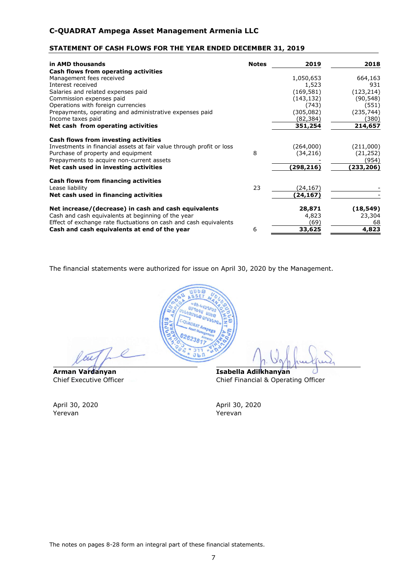### <span id="page-8-1"></span><span id="page-8-0"></span>**STATEMENT OF CASH FLOWS FOR THE YEAR ENDED DECEMBER 31, 2019**

| in AMD thousands                                                     | <b>Notes</b> | 2019       | 2018       |
|----------------------------------------------------------------------|--------------|------------|------------|
| Cash flows from operating activities                                 |              |            |            |
| Management fees received                                             |              | 1,050,653  | 664,163    |
| Interest received                                                    |              | 1,523      | 931        |
| Salaries and related expenses paid                                   |              | (169, 581) | (123, 214) |
| Commission expenses paid                                             |              | (143,132)  | (90, 548)  |
| Operations with foreign currencies                                   |              | (743)      | (551)      |
| Prepayments, operating and administrative expenses paid              |              | (305, 082) | (235, 744) |
| Income taxes paid                                                    |              | (82, 384)  | (380)      |
| Net cash from operating activities                                   |              | 351,254    | 214,657    |
| Cash flows from investing activities                                 |              |            |            |
| Investments in financial assets at fair value through profit or loss |              | (264,000)  | (211,000)  |
| Purchase of property and equipment                                   | 8            | (34, 216)  | (21, 252)  |
| Prepayments to acquire non-current assets                            |              |            | (954)      |
| Net cash used in investing activities                                |              | (298,216)  | (233,206)  |
| Cash flows from financing activities                                 |              |            |            |
| Lease liability                                                      | 23           | (24, 167)  |            |
| Net cash used in financing activities                                |              | (24,167)   |            |
| Net increase/(decrease) in cash and cash equivalents                 |              | 28,871     | (18,549)   |
| Cash and cash equivalents at beginning of the year                   |              | 4,823      | 23,304     |
| Effect of exchange rate fluctuations on cash and cash equivalents    |              | (69)       | 68         |
| Cash and cash equivalents at end of the year                         | 6            | 33,625     | 4,823      |
|                                                                      |              |            |            |

The financial statements were authorized for issue on April 30, 2020 by the Management.



**Arman Vardanyan** Chief Executive Officer

bx

April 30, 2020 Yerevan

**Isabella Adilkhanyan** Chief Financial & Operating Officer

April 30, 2020 Yerevan

The notes on pages 8-28 form an integral part of these financial statements.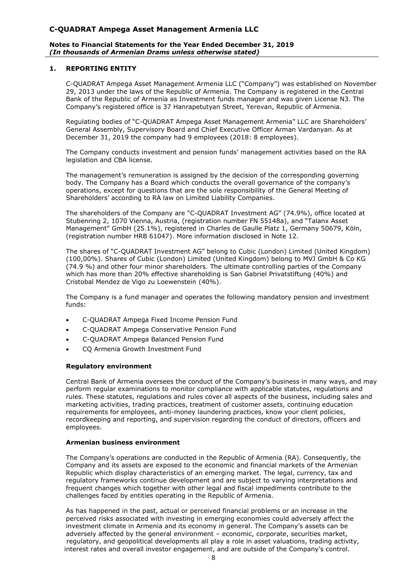### **Notes to Financial Statements for the Year Ended December 31, 2019**  *(In thousands of Armenian Drams unless otherwise stated)*

### <span id="page-9-0"></span>**1. REPORTING ENTITY**

C-QUADRAT Ampega Asset Management Armenia LLC ("Company") was established on November 29, 2013 under the laws of the Republic of Armenia. The Company is registered in the Central Bank of the Republic of Armenia as Investment funds manager and was given License N3. The Company's registered office is 37 Hanrapetutyan Street, Yerevan, Republic of Armenia.

Regulating bodies of "C-QUADRAT Ampega Asset Management Armenia" LLC are Shareholders' General Assembly, Supervisory Board and Chief Executive Officer Arman Vardanyan. As at December 31, 2019 the company had 9 employees (2018: 8 employees).

The Company conducts investment and pension funds' management activities based on the RA legislation and CBA license.

The management's remuneration is assigned by the decision of the corresponding governing body. The Company has a Board which conducts the overall governance of the company's operations, except for questions that are the sole responsibility of the General Meeting of Shareholders' according to RA law on Limited Liability Companies.

The shareholders of the Company are "C-QUADRAT Investment AG" (74.9%), office located at Stubenring 2, 1070 Vienna, Austria, (registration number FN 55148a), and "Talanx Asset Management" GmbH (25.1%), registered in Charles de Gaulle Platz 1, Germany 50679, Köln, (registration number HRB 61047). More information disclosed in Note 12.

The shares of "C-QUADRAT Investment AG" belong to Cubic (London) Limited (United Kingdom) (100,00%). Shares of Cubic (London) Limited (United Kingdom) belong to MVJ GmbH & Co KG (74.9 %) and other four minor shareholders. The ultimate controlling parties of the Company which has more than 20% effective shareholding is San Gabriel Privatstiftung (40%) and Cristobal Mendez de Vigo zu Loewenstein (40%).

The Company is a fund manager and operates the following mandatory pension and investment funds:

- C-QUADRAT Ampega Fixed Income Pension Fund
- C-QUADRAT Ampega Conservative Pension Fund
- C-QUADRAT Ampega Balanced Pension Fund
- CQ Armenia Growth Investment Fund

### **Regulatory environment**

Central Bank of Armenia oversees the conduct of the Company's business in many ways, and may perform regular examinations to monitor compliance with applicable statutes, regulations and rules. These statutes, regulations and rules cover all aspects of the business, including sales and marketing activities, trading practices, treatment of customer assets, continuing education requirements for employees, anti-money laundering practices, know your client policies, recordkeeping and reporting, and supervision regarding the conduct of directors, officers and employees.

### **Armenian business environment**

The Company's operations are conducted in the Republic of Armenia (RA). Consequently, the Company and its assets are exposed to the economic and financial markets of the Armenian Republic which display characteristics of an emerging market. The legal, currency, tax and regulatory frameworks continue development and are subject to varying interpretations and frequent changes which together with other legal and fiscal impediments contribute to the challenges faced by entities operating in the Republic of Armenia.

As has happened in the past, actual or perceived financial problems or an increase in the perceived risks associated with investing in emerging economies could adversely affect the investment climate in Armenia and its economy in general. The Company's assets can be adversely affected by the general environment – economic, corporate, securities market, regulatory, and geopolitical developments all play a role in asset valuations, trading activity, interest rates and overall investor engagement, and are outside of the Company's control.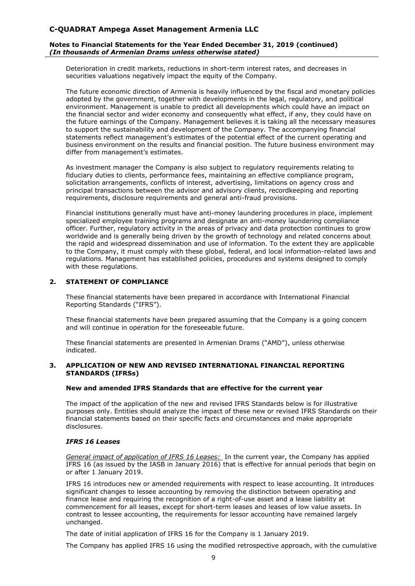### **Notes to Financial Statements for the Year Ended December 31, 2019 (continued)** *(In thousands of Armenian Drams unless otherwise stated)*

Deterioration in credit markets, reductions in short-term interest rates, and decreases in securities valuations negatively impact the equity of the Company.

The future economic direction of Armenia is heavily influenced by the fiscal and monetary policies adopted by the government, together with developments in the legal, regulatory, and political environment. Management is unable to predict all developments which could have an impact on the financial sector and wider economy and consequently what effect, if any, they could have on the future earnings of the Company. Management believes it is taking all the necessary measures to support the sustainability and development of the Company. The accompanying financial statements reflect management's estimates of the potential effect of the current operating and business environment on the results and financial position. The future business environment may differ from management's estimates.

As investment manager the Company is also subject to regulatory requirements relating to fiduciary duties to clients, performance fees, maintaining an effective compliance program, solicitation arrangements, conflicts of interest, advertising, limitations on agency cross and principal transactions between the advisor and advisory clients, recordkeeping and reporting requirements, disclosure requirements and general anti-fraud provisions.

Financial institutions generally must have anti-money laundering procedures in place, implement specialized employee training programs and designate an anti-money laundering compliance officer. Further, regulatory activity in the areas of privacy and data protection continues to grow worldwide and is generally being driven by the growth of technology and related concerns about the rapid and widespread dissemination and use of information. To the extent they are applicable to the Company, it must comply with these global, federal, and local information-related laws and regulations. Management has established policies, procedures and systems designed to comply with these regulations.

### <span id="page-10-0"></span>**2. STATEMENT OF COMPLIANCE**

These financial statements have been prepared in accordance with International Financial Reporting Standards ("IFRS").

These financial statements have been prepared assuming that the Company is a going concern and will continue in operation for the foreseeable future.

These financial statements are presented in Armenian Drams ("AMD"), unless otherwise indicated.

### <span id="page-10-1"></span>**3. APPLICATION OF NEW AND REVISED INTERNATIONAL FINANCIAL REPORTING STANDARDS (IFRSs)**

### **New and amended IFRS Standards that are effective for the current year**

The impact of the application of the new and revised IFRS Standards below is for illustrative purposes only. Entities should analyze the impact of these new or revised IFRS Standards on their financial statements based on their specific facts and circumstances and make appropriate disclosures.

### *IFRS 16 Leases*

*General impact of application of IFRS 16 Leases:* In the current year, the Company has applied IFRS 16 (as issued by the IASB in January 2016) that is effective for annual periods that begin on or after 1 January 2019.

IFRS 16 introduces new or amended requirements with respect to lease accounting. It introduces significant changes to lessee accounting by removing the distinction between operating and finance lease and requiring the recognition of a right-of-use asset and a lease liability at commencement for all leases, except for short-term leases and leases of low value assets. In contrast to lessee accounting, the requirements for lessor accounting have remained largely unchanged.

The date of initial application of IFRS 16 for the Company is 1 January 2019.

The Company has applied IFRS 16 using the modified retrospective approach, with the cumulative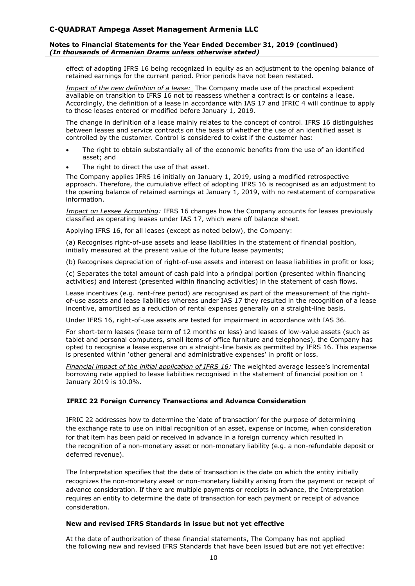### **Notes to Financial Statements for the Year Ended December 31, 2019 (continued)** *(In thousands of Armenian Drams unless otherwise stated)*

effect of adopting IFRS 16 being recognized in equity as an adjustment to the opening balance of retained earnings for the current period. Prior periods have not been restated.

*Impact of the new definition of a lease:* The Company made use of the practical expedient available on transition to IFRS 16 not to reassess whether a contract is or contains a lease. Accordingly, the definition of a lease in accordance with IAS 17 and IFRIC 4 will continue to apply to those leases entered or modified before January 1, 2019.

The change in definition of a lease mainly relates to the concept of control. IFRS 16 distinguishes between leases and service contracts on the basis of whether the use of an identified asset is controlled by the customer. Control is considered to exist if the customer has:

- The right to obtain substantially all of the economic benefits from the use of an identified asset; and
- The right to direct the use of that asset.

The Company applies IFRS 16 initially on January 1, 2019, using a modified retrospective approach. Therefore, the cumulative effect of adopting IFRS 16 is recognised as an adjustment to the opening balance of retained earnings at January 1, 2019, with no restatement of comparative information.

*Impact on Lessee Accounting:* IFRS 16 changes how the Company accounts for leases previously classified as operating leases under IAS 17, which were off balance sheet.

Applying IFRS 16, for all leases (except as noted below), the Company:

(a) Recognises right-of-use assets and lease liabilities in the statement of financial position, initially measured at the present value of the future lease payments;

(b) Recognises depreciation of right-of-use assets and interest on lease liabilities in profit or loss;

(c) Separates the total amount of cash paid into a principal portion (presented within financing activities) and interest (presented within financing activities) in the statement of cash flows.

Lease incentives (e.g. rent-free period) are recognised as part of the measurement of the rightof-use assets and lease liabilities whereas under IAS 17 they resulted in the recognition of a lease incentive, amortised as a reduction of rental expenses generally on a straight-line basis.

Under IFRS 16, right-of-use assets are tested for impairment in accordance with IAS 36.

For short-term leases (lease term of 12 months or less) and leases of low-value assets (such as tablet and personal computers, small items of office furniture and telephones), the Company has opted to recognise a lease expense on a straight-line basis as permitted by IFRS 16. This expense is presented within 'other general and administrative expenses' in profit or loss.

*Financial impact of the initial application of IFRS 16:* The weighted average lessee's incremental borrowing rate applied to lease liabilities recognised in the statement of financial position on 1 January 2019 is 10.0%.

## **IFRIC 22 Foreign Currency Transactions and Advance Consideration**

IFRIC 22 addresses how to determine the 'date of transaction' for the purpose of determining the exchange rate to use on initial recognition of an asset, expense or income, when consideration for that item has been paid or received in advance in a foreign currency which resulted in the recognition of a non-monetary asset or non-monetary liability (e.g. a non-refundable deposit or deferred revenue).

The Interpretation specifies that the date of transaction is the date on which the entity initially recognizes the non-monetary asset or non-monetary liability arising from the payment or receipt of advance consideration. If there are multiple payments or receipts in advance, the Interpretation requires an entity to determine the date of transaction for each payment or receipt of advance consideration.

### **New and revised IFRS Standards in issue but not yet effective**

At the date of authorization of these financial statements, The Company has not applied the following new and revised IFRS Standards that have been issued but are not yet effective: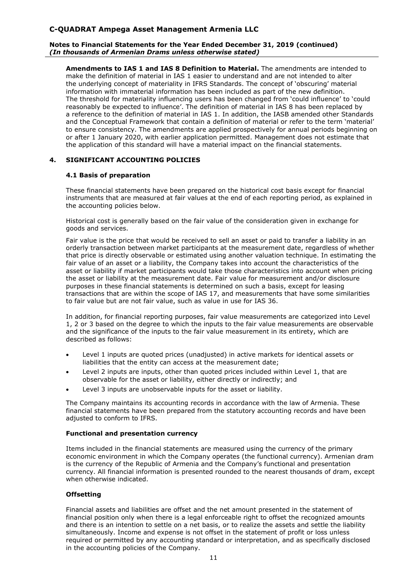### **Notes to Financial Statements for the Year Ended December 31, 2019 (continued)** *(In thousands of Armenian Drams unless otherwise stated)*

**Amendments to IAS 1 and IAS 8 Definition to Material.** The amendments are intended to make the definition of material in IAS 1 easier to understand and are not intended to alter the underlying concept of materiality in IFRS Standards. The concept of 'obscuring' material information with immaterial information has been included as part of the new definition. The threshold for materiality influencing users has been changed from 'could influence' to 'could reasonably be expected to influence'. The definition of material in IAS 8 has been replaced by a reference to the definition of material in IAS 1. In addition, the IASB amended other Standards and the Conceptual Framework that contain a definition of material or refer to the term 'material' to ensure consistency. The amendments are applied prospectively for annual periods beginning on or after 1 January 2020, with earlier application permitted. Management does not estimate that the application of this standard will have a material impact on the financial statements.

### <span id="page-12-0"></span>**4. SIGNIFICANT ACCOUNTING POLICIES**

### **4.1 Basis of preparation**

These financial statements have been prepared on the historical cost basis except for financial instruments that are measured at fair values at the end of each reporting period, as explained in the accounting policies below.

Historical cost is generally based on the fair value of the consideration given in exchange for goods and services.

Fair value is the price that would be received to sell an asset or paid to transfer a liability in an orderly transaction between market participants at the measurement date, regardless of whether that price is directly observable or estimated using another valuation technique. In estimating the fair value of an asset or a liability, the Company takes into account the characteristics of the asset or liability if market participants would take those characteristics into account when pricing the asset or liability at the measurement date. Fair value for measurement and/or disclosure purposes in these financial statements is determined on such a basis, except for leasing transactions that are within the scope of IAS 17, and measurements that have some similarities to fair value but are not fair value, such as value in use for IAS 36.

In addition, for financial reporting purposes, fair value measurements are categorized into Level 1, 2 or 3 based on the degree to which the inputs to the fair value measurements are observable and the significance of the inputs to the fair value measurement in its entirety, which are described as follows:

- Level 1 inputs are quoted prices (unadjusted) in active markets for identical assets or liabilities that the entity can access at the measurement date;
- Level 2 inputs are inputs, other than quoted prices included within Level 1, that are observable for the asset or liability, either directly or indirectly; and
- Level 3 inputs are unobservable inputs for the asset or liability.

The Company maintains its accounting records in accordance with the law of Armenia. These financial statements have been prepared from the statutory accounting records and have been adjusted to conform to IFRS.

### **Functional and presentation currency**

Items included in the financial statements are measured using the currency of the primary economic environment in which the Company operates (the functional currency). Armenian dram is the currency of the Republic of Armenia and the Company's functional and presentation currency. All financial information is presented rounded to the nearest thousands of dram, except when otherwise indicated.

## **Offsetting**

Financial assets and liabilities are offset and the net amount presented in the statement of financial position only when there is a legal enforceable right to offset the recognized amounts and there is an intention to settle on a net basis, or to realize the assets and settle the liability simultaneously. Income and expense is not offset in the statement of profit or loss unless required or permitted by any accounting standard or interpretation, and as specifically disclosed in the accounting policies of the Company.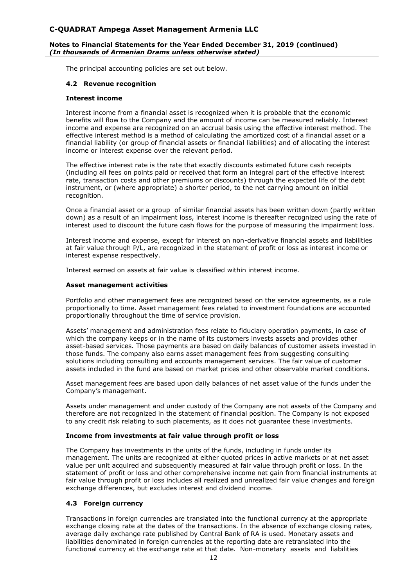### **Notes to Financial Statements for the Year Ended December 31, 2019 (continued)** *(In thousands of Armenian Drams unless otherwise stated)*

The principal accounting policies are set out below.

### **4.2 Revenue recognition**

#### **Interest income**

Interest income from a financial asset is recognized when it is probable that the economic benefits will flow to the Company and the amount of income can be measured reliably. Interest income and expense are recognized on an accrual basis using the effective interest method. The effective interest method is a method of calculating the amortized cost of a financial asset or a financial liability (or group of financial assets or financial liabilities) and of allocating the interest income or interest expense over the relevant period.

The effective interest rate is the rate that exactly discounts estimated future cash receipts (including all fees on points paid or received that form an integral part of the effective interest rate, transaction costs and other premiums or discounts) through the expected life of the debt instrument, or (where appropriate) a shorter period, to the net carrying amount on initial recognition.

Once a financial asset or a group of similar financial assets has been written down (partly written down) as a result of an impairment loss, interest income is thereafter recognized using the rate of interest used to discount the future cash flows for the purpose of measuring the impairment loss.

Interest income and expense, except for interest on non-derivative financial assets and liabilities at fair value through P/L, are recognized in the statement of profit or loss as interest income or interest expense respectively.

Interest earned on assets at fair value is classified within interest income.

#### **Asset management activities**

Portfolio and other management fees are recognized based on the service agreements, as a rule proportionally to time. Asset management fees related to investment foundations are accounted proportionally throughout the time of service provision.

Assets' management and administration fees relate to fiduciary operation payments, in case of which the company keeps or in the name of its customers invests assets and provides other asset-based services. Those payments are based on daily balances of customer assets invested in those funds. The company also earns asset management fees from suggesting consulting solutions including consulting and accounts management services. The fair value of customer assets included in the fund are based on market prices and other observable market conditions.

Asset management fees are based upon daily balances of net asset value of the funds under the Company's management.

Assets under management and under custody of the Company are not assets of the Company and therefore are not recognized in the statement of financial position. The Company is not exposed to any credit risk relating to such placements, as it does not guarantee these investments.

### **Income from investments at fair value through profit or loss**

The Company has investments in the units of the funds, including in funds under its management. The units are recognized at either quoted prices in active markets or at net asset value per unit acquired and subsequently measured at fair value through profit or loss. In the statement of profit or loss and other comprehensive income net gain from financial instruments at fair value through profit or loss includes all realized and unrealized fair value changes and foreign exchange differences, but excludes interest and dividend income.

### **4.3 Foreign currency**

Transactions in foreign currencies are translated into the functional currency at the appropriate exchange closing rate at the dates of the transactions. In the absence of exchange closing rates, average daily exchange rate published by Central Bank of RA is used. Monetary assets and liabilities denominated in foreign currencies at the reporting date are retranslated into the functional currency at the exchange rate at that date. Non-monetary assets and liabilities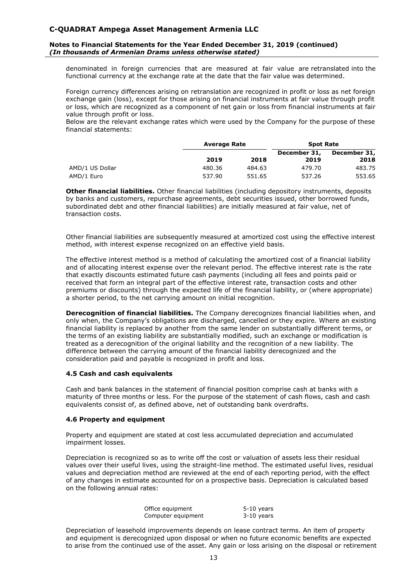### **Notes to Financial Statements for the Year Ended December 31, 2019 (continued)** *(In thousands of Armenian Drams unless otherwise stated)*

denominated in foreign currencies that are measured at fair value are retranslated into the functional currency at the exchange rate at the date that the fair value was determined.

Foreign currency differences arising on retranslation are recognized in profit or loss as net foreign exchange gain (loss), except for those arising on financial instruments at fair value through profit or loss, which are recognized as a component of net gain or loss from financial instruments at fair value through profit or loss.

Below are the relevant exchange rates which were used by the Company for the purpose of these financial statements:

|                 |        | <b>Average Rate</b> |                      | <b>Spot Rate</b>     |
|-----------------|--------|---------------------|----------------------|----------------------|
|                 | 2019   | 2018                | December 31,<br>2019 | December 31,<br>2018 |
| AMD/1 US Dollar | 480.36 | 484.63              | 479.70               | 483.75               |
| AMD/1 Euro      | 537.90 | 551.65              | 537.26               | 553.65               |

**Other financial liabilities.** Other financial liabilities (including depository instruments, deposits by banks and customers, repurchase agreements, debt securities issued, other borrowed funds, subordinated debt and other financial liabilities) are initially measured at fair value, net of transaction costs.

Other financial liabilities are subsequently measured at amortized cost using the effective interest method, with interest expense recognized on an effective yield basis.

The effective interest method is a method of calculating the amortized cost of a financial liability and of allocating interest expense over the relevant period. The effective interest rate is the rate that exactly discounts estimated future cash payments (including all fees and points paid or received that form an integral part of the effective interest rate, transaction costs and other premiums or discounts) through the expected life of the financial liability, or (where appropriate) a shorter period, to the net carrying amount on initial recognition.

**Derecognition of financial liabilities.** The Company derecognizes financial liabilities when, and only when, the Company's obligations are discharged, cancelled or they expire. Where an existing financial liability is replaced by another from the same lender on substantially different terms, or the terms of an existing liability are substantially modified, such an exchange or modification is treated as a derecognition of the original liability and the recognition of a new liability. The difference between the carrying amount of the financial liability derecognized and the consideration paid and payable is recognized in profit and loss.

### **4.5 Cash and cash equivalents**

Cash and bank balances in the statement of financial position comprise cash at banks with a maturity of three months or less. For the purpose of the statement of cash flows, cash and cash equivalents consist of, as defined above, net of outstanding bank overdrafts.

### **4.6 Property and equipment**

Property and equipment are stated at cost less accumulated depreciation and accumulated impairment losses.

Depreciation is recognized so as to write off the cost or valuation of assets less their residual values over their useful lives, using the straight-line method. The estimated useful lives, residual values and depreciation method are reviewed at the end of each reporting period, with the effect of any changes in estimate accounted for on a prospective basis. Depreciation is calculated based on the following annual rates:

| Office equipment   | 5-10 years |
|--------------------|------------|
| Computer equipment | 3-10 years |

Depreciation of leasehold improvements depends on lease contract terms. An item of property and equipment is derecognized upon disposal or when no future economic benefits are expected to arise from the continued use of the asset. Any gain or loss arising on the disposal or retirement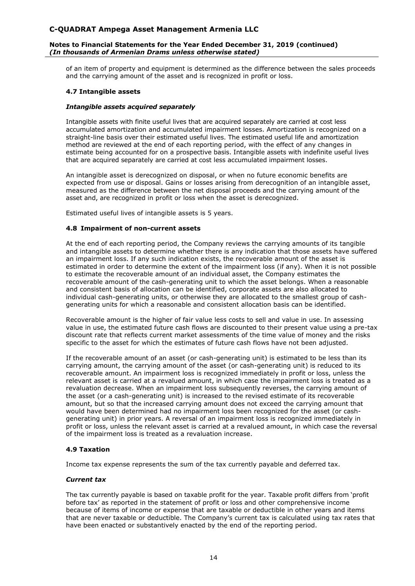### **Notes to Financial Statements for the Year Ended December 31, 2019 (continued)** *(In thousands of Armenian Drams unless otherwise stated)*

of an item of property and equipment is determined as the difference between the sales proceeds and the carrying amount of the asset and is recognized in profit or loss.

### **4.7 Intangible assets**

### *Intangible assets acquired separately*

Intangible assets with finite useful lives that are acquired separately are carried at cost less accumulated amortization and accumulated impairment losses. Amortization is recognized on a straight-line basis over their estimated useful lives. The estimated useful life and amortization method are reviewed at the end of each reporting period, with the effect of any changes in estimate being accounted for on a prospective basis. Intangible assets with indefinite useful lives that are acquired separately are carried at cost less accumulated impairment losses.

An intangible asset is derecognized on disposal, or when no future economic benefits are expected from use or disposal. Gains or losses arising from derecognition of an intangible asset, measured as the difference between the net disposal proceeds and the carrying amount of the asset and, are recognized in profit or loss when the asset is derecognized.

Estimated useful lives of intangible assets is 5 years.

### **4.8 Impairment of non-current assets**

At the end of each reporting period, the Company reviews the carrying amounts of its tangible and intangible assets to determine whether there is any indication that those assets have suffered an impairment loss. If any such indication exists, the recoverable amount of the asset is estimated in order to determine the extent of the impairment loss (if any). When it is not possible to estimate the recoverable amount of an individual asset, the Company estimates the recoverable amount of the cash-generating unit to which the asset belongs. When a reasonable and consistent basis of allocation can be identified, corporate assets are also allocated to individual cash-generating units, or otherwise they are allocated to the smallest group of cashgenerating units for which a reasonable and consistent allocation basis can be identified.

Recoverable amount is the higher of fair value less costs to sell and value in use. In assessing value in use, the estimated future cash flows are discounted to their present value using a pre-tax discount rate that reflects current market assessments of the time value of money and the risks specific to the asset for which the estimates of future cash flows have not been adjusted.

If the recoverable amount of an asset (or cash-generating unit) is estimated to be less than its carrying amount, the carrying amount of the asset (or cash-generating unit) is reduced to its recoverable amount. An impairment loss is recognized immediately in profit or loss, unless the relevant asset is carried at a revalued amount, in which case the impairment loss is treated as a revaluation decrease. When an impairment loss subsequently reverses, the carrying amount of the asset (or a cash-generating unit) is increased to the revised estimate of its recoverable amount, but so that the increased carrying amount does not exceed the carrying amount that would have been determined had no impairment loss been recognized for the asset (or cashgenerating unit) in prior years. A reversal of an impairment loss is recognized immediately in profit or loss, unless the relevant asset is carried at a revalued amount, in which case the reversal of the impairment loss is treated as a revaluation increase.

## **4.9 Taxation**

Income tax expense represents the sum of the tax currently payable and deferred tax.

### *Current tax*

The tax currently payable is based on taxable profit for the year. Taxable profit differs from 'profit before tax' as reported in the statement of profit or loss and other comprehensive income because of items of income or expense that are taxable or deductible in other years and items that are never taxable or deductible. The Company's current tax is calculated using tax rates that have been enacted or substantively enacted by the end of the reporting period.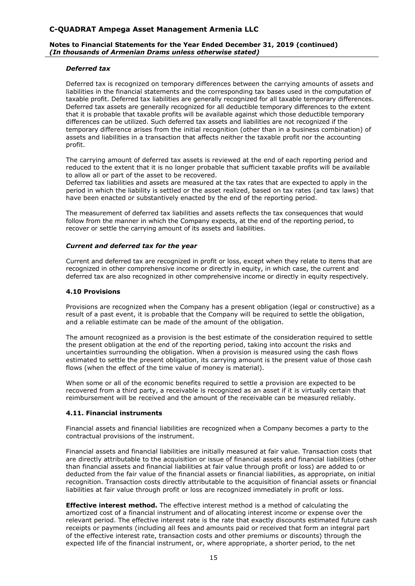### **Notes to Financial Statements for the Year Ended December 31, 2019 (continued)** *(In thousands of Armenian Drams unless otherwise stated)*

### *Deferred tax*

Deferred tax is recognized on temporary differences between the carrying amounts of assets and liabilities in the financial statements and the corresponding tax bases used in the computation of taxable profit. Deferred tax liabilities are generally recognized for all taxable temporary differences. Deferred tax assets are generally recognized for all deductible temporary differences to the extent that it is probable that taxable profits will be available against which those deductible temporary differences can be utilized. Such deferred tax assets and liabilities are not recognized if the temporary difference arises from the initial recognition (other than in a business combination) of assets and liabilities in a transaction that affects neither the taxable profit nor the accounting profit.

The carrying amount of deferred tax assets is reviewed at the end of each reporting period and reduced to the extent that it is no longer probable that sufficient taxable profits will be available to allow all or part of the asset to be recovered.

Deferred tax liabilities and assets are measured at the tax rates that are expected to apply in the period in which the liability is settled or the asset realized, based on tax rates (and tax laws) that have been enacted or substantively enacted by the end of the reporting period.

The measurement of deferred tax liabilities and assets reflects the tax consequences that would follow from the manner in which the Company expects, at the end of the reporting period, to recover or settle the carrying amount of its assets and liabilities.

### *Current and deferred tax for the year*

Current and deferred tax are recognized in profit or loss, except when they relate to items that are recognized in other comprehensive income or directly in equity, in which case, the current and deferred tax are also recognized in other comprehensive income or directly in equity respectively.

### **4.10 Provisions**

Provisions are recognized when the Company has a present obligation (legal or constructive) as a result of a past event, it is probable that the Company will be required to settle the obligation, and a reliable estimate can be made of the amount of the obligation.

The amount recognized as a provision is the best estimate of the consideration required to settle the present obligation at the end of the reporting period, taking into account the risks and uncertainties surrounding the obligation. When a provision is measured using the cash flows estimated to settle the present obligation, its carrying amount is the present value of those cash flows (when the effect of the time value of money is material).

When some or all of the economic benefits required to settle a provision are expected to be recovered from a third party, a receivable is recognized as an asset if it is virtually certain that reimbursement will be received and the amount of the receivable can be measured reliably.

### **4.11. Financial instruments**

Financial assets and financial liabilities are recognized when a Company becomes a party to the contractual provisions of the instrument.

Financial assets and financial liabilities are initially measured at fair value. Transaction costs that are directly attributable to the acquisition or issue of financial assets and financial liabilities (other than financial assets and financial liabilities at fair value through profit or loss) are added to or deducted from the fair value of the financial assets or financial liabilities, as appropriate, on initial recognition. Transaction costs directly attributable to the acquisition of financial assets or financial liabilities at fair value through profit or loss are recognized immediately in profit or loss.

**Effective interest method.** The effective interest method is a method of calculating the amortized cost of a financial instrument and of allocating interest income or expense over the relevant period. The effective interest rate is the rate that exactly discounts estimated future cash receipts or payments (including all fees and amounts paid or received that form an integral part of the effective interest rate, transaction costs and other premiums or discounts) through the expected life of the financial instrument, or, where appropriate, a shorter period, to the net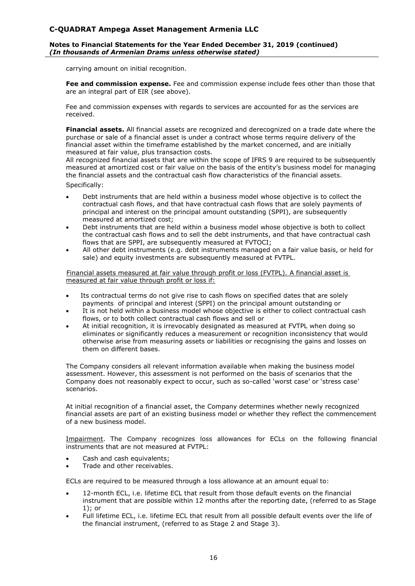### **Notes to Financial Statements for the Year Ended December 31, 2019 (continued)** *(In thousands of Armenian Drams unless otherwise stated)*

carrying amount on initial recognition.

**Fee and commission expense.** Fee and commission expense include fees other than those that are an integral part of EIR (see above).

Fee and commission expenses with regards to services are accounted for as the services are received.

**Financial assets.** All financial assets are recognized and derecognized on a trade date where the purchase or sale of a financial asset is under a contract whose terms require delivery of the financial asset within the timeframe established by the market concerned, and are initially measured at fair value, plus transaction costs.

All recognized financial assets that are within the scope of IFRS 9 are required to be subsequently measured at amortized cost or fair value on the basis of the entity's business model for managing the financial assets and the contractual cash flow characteristics of the financial assets. Specifically:

- Debt instruments that are held within a business model whose objective is to collect the contractual cash flows, and that have contractual cash flows that are solely payments of principal and interest on the principal amount outstanding (SPPI), are subsequently measured at amortized cost;
- Debt instruments that are held within a business model whose objective is both to collect the contractual cash flows and to sell the debt instruments, and that have contractual cash flows that are SPPI, are subsequently measured at FVTOCI;
- All other debt instruments (e.g. debt instruments managed on a fair value basis, or held for sale) and equity investments are subsequently measured at FVTPL.

Financial assets measured at fair value through profit or loss (FVTPL). A financial asset is measured at fair value through profit or loss if:

- Its contractual terms do not give rise to cash flows on specified dates that are solely payments of principal and interest (SPPI) on the principal amount outstanding or
- It is not held within a business model whose objective is either to collect contractual cash flows, or to both collect contractual cash flows and sell or
- At initial recognition, it is irrevocably designated as measured at FVTPL when doing so eliminates or significantly reduces a measurement or recognition inconsistency that would otherwise arise from measuring assets or liabilities or recognising the gains and losses on them on different bases.

The Company considers all relevant information available when making the business model assessment. However, this assessment is not performed on the basis of scenarios that the Company does not reasonably expect to occur, such as so-called 'worst case' or 'stress case' scenarios.

At initial recognition of a financial asset, the Company determines whether newly recognized financial assets are part of an existing business model or whether they reflect the commencement of a new business model.

Impairment. The Company recognizes loss allowances for ECLs on the following financial instruments that are not measured at FVTPL:

- Cash and cash equivalents;
- Trade and other receivables.

ECLs are required to be measured through a loss allowance at an amount equal to:

- 12-month ECL, i.e. lifetime ECL that result from those default events on the financial instrument that are possible within 12 months after the reporting date, (referred to as Stage 1); or
- Full lifetime ECL, i.e. lifetime ECL that result from all possible default events over the life of the financial instrument, (referred to as Stage 2 and Stage 3).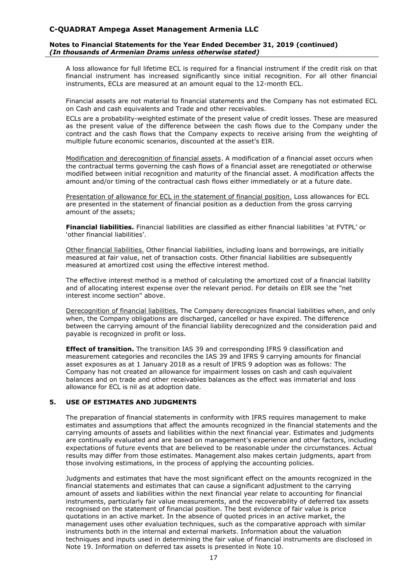### **Notes to Financial Statements for the Year Ended December 31, 2019 (continued)** *(In thousands of Armenian Drams unless otherwise stated)*

A loss allowance for full lifetime ECL is required for a financial instrument if the credit risk on that financial instrument has increased significantly since initial recognition. For all other financial instruments, ECLs are measured at an amount equal to the 12-month ECL.

Financial assets are not material to financial statements and the Company has not estimated ECL on Cash and cash equivalents and Trade and other receivables.

ECLs are a probability-weighted estimate of the present value of credit losses. These are measured as the present value of the difference between the cash flows due to the Company under the contract and the cash flows that the Company expects to receive arising from the weighting of multiple future economic scenarios, discounted at the asset's EIR.

Modification and derecognition of financial assets. A modification of a financial asset occurs when the contractual terms governing the cash flows of a financial asset are renegotiated or otherwise modified between initial recognition and maturity of the financial asset. A modification affects the amount and/or timing of the contractual cash flows either immediately or at a future date.

Presentation of allowance for ECL in the statement of financial position. Loss allowances for ECL are presented in the statement of financial position as a deduction from the gross carrying amount of the assets;

**Financial liabilities.** Financial liabilities are classified as either financial liabilities 'at FVTPL' or 'other financial liabilities'.

Other financial liabilities. Other financial liabilities, including loans and borrowings, are initially measured at fair value, net of transaction costs. Other financial liabilities are subsequently measured at amortized cost using the effective interest method.

The effective interest method is a method of calculating the amortized cost of a financial liability and of allocating interest expense over the relevant period. For details on EIR see the "net interest income section" above.

Derecognition of financial liabilities. The Company derecognizes financial liabilities when, and only when, the Company obligations are discharged, cancelled or have expired. The difference between the carrying amount of the financial liability derecognized and the consideration paid and payable is recognized in profit or loss.

**Effect of transition.** The transition IAS 39 and corresponding IFRS 9 classification and measurement categories and reconciles the IAS 39 and IFRS 9 carrying amounts for financial asset exposures as at 1 January 2018 as a result of IFRS 9 adoption was as follows: The Company has not created an allowance for impairment losses on cash and cash equivalent balances and on trade and other receivables balances as the effect was immaterial and loss allowance for ECL is nil as at adoption date.

### <span id="page-18-0"></span>**5. USE OF ESTIMATES AND JUDGMENTS**

The preparation of financial statements in conformity with IFRS requires management to make estimates and assumptions that affect the amounts recognized in the financial statements and the carrying amounts of assets and liabilities within the next financial year. Estimates and judgments are continually evaluated and are based on management's experience and other factors, including expectations of future events that are believed to be reasonable under the circumstances. Actual results may differ from those estimates. Management also makes certain judgments, apart from those involving estimations, in the process of applying the accounting policies.

Judgments and estimates that have the most significant effect on the amounts recognized in the financial statements and estimates that can cause a significant adjustment to the carrying amount of assets and liabilities within the next financial year relate to accounting for financial instruments, particularly fair value measurements, and the recoverability of deferred tax assets recognised on the statement of financial position. The best evidence of fair value is price quotations in an active market. In the absence of quoted prices in an active market, the management uses other evaluation techniques, such as the comparative approach with similar instruments both in the internal and external markets. Information about the valuation techniques and inputs used in determining the fair value of financial instruments are disclosed in Note 19. Information on deferred tax assets is presented in Note 10.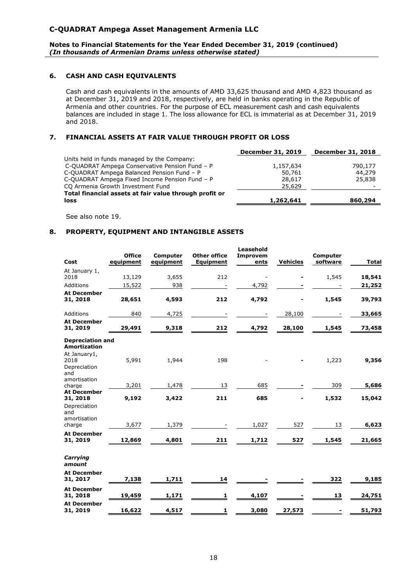### **Notes to Financial Statements for the Year Ended December 31, 2019 (continued)** *(In thousands of Armenian Drams unless otherwise stated)*

### <span id="page-19-0"></span>**6. CASH AND CASH EQUIVALENTS**

Cash and cash equivalents in the amounts of AMD 33,625 thousand and AMD 4,823 thousand as at December 31, 2019 and 2018, respectively, are held in banks operating in the Republic of Armenia and other countries. For the purpose of ECL measurement cash and cash equivalents balances are included in stage 1. The loss allowance for ECL is immaterial as at December 31, 2019 and 2018.

### <span id="page-19-1"></span>**7. FINANCIAL ASSETS AT FAIR VALUE THROUGH PROFIT OR LOSS**

|                                                        | <b>December 31, 2019</b> | <b>December 31, 2018</b> |
|--------------------------------------------------------|--------------------------|--------------------------|
| Units held in funds managed by the Company:            |                          |                          |
| C-QUADRAT Ampega Conservative Pension Fund - P         | 1,157,634                | 790.177                  |
| C-QUADRAT Ampega Balanced Pension Fund - P             | 50,761                   | 44,279                   |
| C-QUADRAT Ampega Fixed Income Pension Fund - P         | 28,617                   | 25,838                   |
| CO Armenia Growth Investment Fund                      | 25,629                   |                          |
| Total financial assets at fair value through profit or |                          |                          |
| loss                                                   | 1,262,641                | 860,294                  |
|                                                        |                          |                          |

See also note 19.

### <span id="page-19-2"></span>**8. PROPERTY, EQUIPMENT AND INTANGIBLE ASSETS**

| Cost                                                           | <b>Office</b><br>equipment | Computer<br>equipment | <b>Other office</b><br>Equipment | Leasehold<br><b>Improvem</b><br>ents | <b>Vehicles</b> | Computer<br>software | <b>Total</b>     |
|----------------------------------------------------------------|----------------------------|-----------------------|----------------------------------|--------------------------------------|-----------------|----------------------|------------------|
| At January 1,                                                  |                            |                       |                                  |                                      |                 |                      |                  |
| 2018<br>Additions                                              | 13,129<br>15,522           | 3,655<br>938          | 212                              | 4,792                                |                 | 1,545                | 18,541<br>21,252 |
| <b>At December</b>                                             |                            |                       |                                  |                                      |                 |                      |                  |
| 31, 2018                                                       | 28,651                     | 4,593                 | 212                              | 4,792                                |                 | 1,545                | 39,793           |
| Additions                                                      | 840                        | 4,725                 |                                  |                                      | 28,100          |                      | 33,665           |
| <b>At December</b><br>31, 2019                                 | 29,491                     | 9,318                 | 212                              | 4,792                                | 28,100          | <u>1,545</u>         | 73,458           |
| <b>Depreciation and</b><br><b>Amortization</b><br>At January1, |                            |                       |                                  |                                      |                 |                      |                  |
| 2018<br>Depreciation<br>and<br>amortisation                    | 5,991                      | 1,944                 | 198                              |                                      |                 | 1,223                | 9,356            |
| charge                                                         | 3,201                      | 1,478                 | 13                               | 685                                  |                 | 309                  | 5,686            |
| <b>At December</b><br>31, 2018<br>Depreciation                 | 9,192                      | 3,422                 | 211                              | 685                                  |                 | 1,532                | 15,042           |
| and                                                            |                            |                       |                                  |                                      |                 |                      |                  |
| amortisation<br>charge                                         | 3,677                      | 1,379                 |                                  | 1,027                                | 527             | 13                   | 6,623            |
| <b>At December</b><br>31, 2019                                 | 12,869                     | 4,801                 | 211                              | 1,712                                | 527             | 1,545                | 21,665           |
| Carrying<br>amount                                             |                            |                       |                                  |                                      |                 |                      |                  |
| <b>At December</b><br>31, 2017                                 | 7,138                      | 1,711                 | 14                               |                                      |                 | 322                  | 9,185            |
| <b>At December</b><br>31, 2018                                 | 19,459                     | 1,171                 | 1                                | 4,107                                |                 | 13                   | 24,751           |
| <b>At December</b><br>31, 2019                                 | 16,622                     | 4,517                 | 1                                | 3,080                                | 27,573          |                      | 51,793           |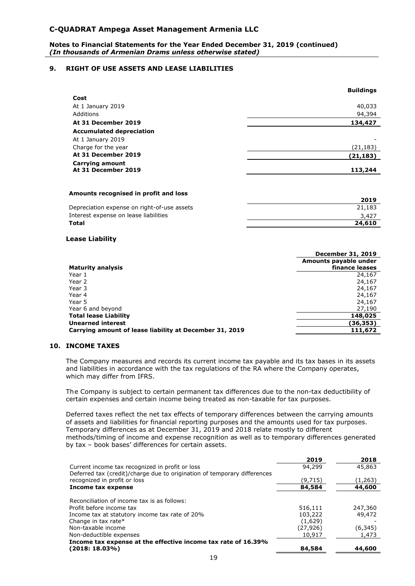#### **Notes to Financial Statements for the Year Ended December 31, 2019 (continued)** *(In thousands of Armenian Drams unless otherwise stated)*

#### <span id="page-20-0"></span>**9. RIGHT OF USE ASSETS AND LEASE LIABILITIES**

|                                 | <b>Buildings</b> |
|---------------------------------|------------------|
| Cost                            |                  |
| At 1 January 2019               | 40,033           |
| Additions                       | 94,394           |
| At 31 December 2019             | 134,427          |
| <b>Accumulated depreciation</b> |                  |
| At 1 January 2019               |                  |
| Charge for the year             | (21,183)         |
| At 31 December 2019             | (21,183)         |
| <b>Carrying amount</b>          |                  |
| At 31 December 2019             | 113,244          |

### **Amounts recognised in profit and loss**

|                                             | 2019   |
|---------------------------------------------|--------|
| Depreciation expense on right-of-use assets | 21.183 |
| Interest expense on lease liabilities       | 3,427  |
| Total                                       | 24,610 |

#### **Lease Liability**

|                                                         | December 31, 2019     |
|---------------------------------------------------------|-----------------------|
|                                                         | Amounts payable under |
| <b>Maturity analysis</b>                                | finance leases        |
| Year 1                                                  | 24,167                |
| Year 2                                                  | 24,167                |
| Year 3                                                  | 24,167                |
| Year 4                                                  | 24,167                |
| Year 5                                                  | 24,167                |
| Year 6 and beyond                                       | 27,190                |
| <b>Total lease Liability</b>                            | 148,025               |
| <b>Unearned interest</b>                                | (36,353)              |
| Carrying amount of lease liability at December 31, 2019 | 111,672               |

#### <span id="page-20-1"></span>**10. INCOME TAXES**

The Company measures and records its current income tax payable and its tax bases in its assets and liabilities in accordance with the tax regulations of the RA where the Company operates, which may differ from IFRS.

The Company is subject to certain permanent tax differences due to the non-tax deductibility of certain expenses and certain income being treated as non-taxable for tax purposes.

Deferred taxes reflect the net tax effects of temporary differences between the carrying amounts of assets and liabilities for financial reporting purposes and the amounts used for tax purposes. Temporary differences as at December 31, 2019 and 2018 relate mostly to different methods/timing of income and expense recognition as well as to temporary differences generated by tax – book bases' differences for certain assets.

|                                                                          | 2019      | 2018     |
|--------------------------------------------------------------------------|-----------|----------|
| Current income tax recognized in profit or loss                          | 94,299    | 45,863   |
| Deferred tax (credit)/charge due to origination of temporary differences |           |          |
| recognized in profit or loss                                             | (9,715)   | (1,263)  |
| Income tax expense                                                       | 84,584    | 44,600   |
| Reconciliation of income tax is as follows:                              |           |          |
| Profit before income tax                                                 | 516,111   | 247,360  |
| Income tax at statutory income tax rate of 20%                           | 103,222   | 49,472   |
| Change in tax rate*                                                      | (1,629)   |          |
| Non-taxable income                                                       | (27, 926) | (6, 345) |
| Non-deductible expenses                                                  | 10,917    | 1,473    |
| Income tax expense at the effective income tax rate of 16.39%            |           |          |
| $(2018:18.03\%)$                                                         | 84,584    | 44,600   |
|                                                                          |           |          |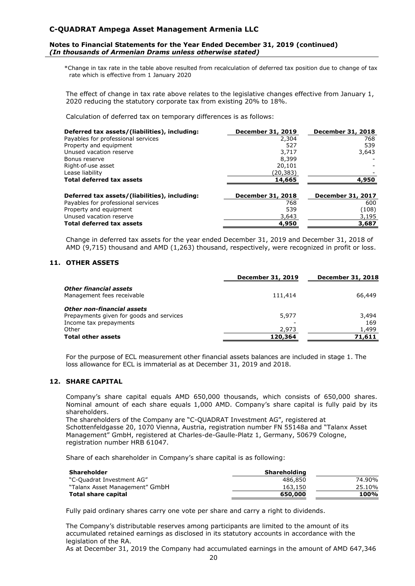### **Notes to Financial Statements for the Year Ended December 31, 2019 (continued)** *(In thousands of Armenian Drams unless otherwise stated)*

\*Change in tax rate in the table above resulted from recalculation of deferred tax position due to change of tax rate which is effective from 1 January 2020

The effect of change in tax rate above relates to the legislative changes effective from January 1, 2020 reducing the statutory corporate tax from existing 20% to 18%.

Calculation of deferred tax on temporary differences is as follows:

| Deferred tax assets/(liabilities), including: | December 31, 2019 | <b>December 31, 2018</b> |
|-----------------------------------------------|-------------------|--------------------------|
| Payables for professional services            | 2,304             | 768                      |
| Property and equipment                        | 527               | 539                      |
| Unused vacation reserve                       | 3,717             | 3,643                    |
| Bonus reserve                                 | 8,399             |                          |
| Right-of-use asset                            | 20,101            |                          |
| Lease liability                               | (20,383)          |                          |
| <b>Total deferred tax assets</b>              | 14,665            | 4,950                    |
| Deferred tax assets/(liabilities), including: | December 31, 2018 | December 31, 2017        |
| Payables for professional services            | 768               | 600                      |
| Property and equipment                        | 539               | (108)                    |
| Unused vacation reserve                       | 3,643             | 3,195                    |
| <b>Total deferred tax assets</b>              | 4,950             | 3,687                    |

Change in deferred tax assets for the year ended December 31, 2019 and December 31, 2018 of AMD (9,715) thousand and AMD (1,263) thousand, respectively, were recognized in profit or loss.

### <span id="page-21-0"></span>**11. OTHER ASSETS**

|                                          | December 31, 2019 | <b>December 31, 2018</b> |
|------------------------------------------|-------------------|--------------------------|
| <b>Other financial assets</b>            |                   |                          |
| Management fees receivable               | 111,414           | 66,449                   |
| Other non-financial assets               |                   |                          |
| Prepayments given for goods and services | 5,977             | 3,494                    |
| Income tax prepayments                   |                   | 169                      |
| Other                                    | 2,973             | 1,499                    |
| <b>Total other assets</b>                | 120,364           | 71,611                   |

For the purpose of ECL measurement other financial assets balances are included in stage 1. The loss allowance for ECL is immaterial as at December 31, 2019 and 2018.

### **12. SHARE CAPITAL**

Company's share capital equals AMD 650,000 thousands, which consists of 650,000 shares. Nominal amount of each share equals 1,000 AMD. Company's share capital is fully paid by its shareholders.

The shareholders of the Company are "C-QUADRAT Investment AG", registered at Schottenfeldgasse 20, 1070 Vienna, Austria, registration number FN 55148a and "Talanx Asset Management" GmbH, registered at Charles-de-Gaulle-Platz 1, Germany, 50679 Cologne, registration number HRB 61047.

Share of each shareholder in Company's share capital is as following:

| <b>Shareholder</b>             | Shareholding |        |
|--------------------------------|--------------|--------|
| "C-Ouadrat Investment AG"      | 486,850      | 74.90% |
| "Talanx Asset Management" GmbH | 163,150      | 25.10% |
| Total share capital            | 650,000      | 100%   |

Fully paid ordinary shares carry one vote per share and carry a right to dividends.

The Company's distributable reserves among participants are limited to the amount of its accumulated retained earnings as disclosed in its statutory accounts in accordance with the legislation of the RA.

As at December 31, 2019 the Company had accumulated earnings in the amount of AMD 647,346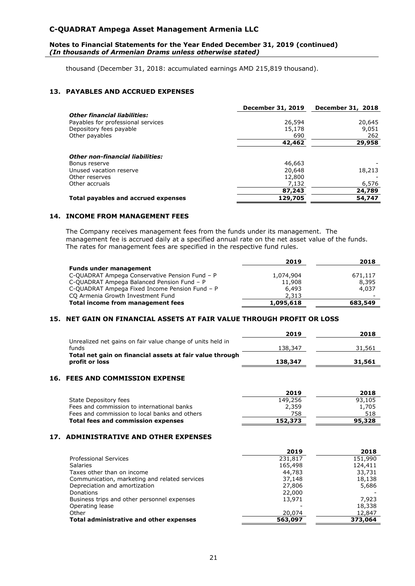### **Notes to Financial Statements for the Year Ended December 31, 2019 (continued)** *(In thousands of Armenian Drams unless otherwise stated)*

thousand (December 31, 2018: accumulated earnings AMD 215,819 thousand).

### <span id="page-22-0"></span>**13. PAYABLES AND ACCRUED EXPENSES**

|                                         | December 31, 2019 | December 31, 2018 |
|-----------------------------------------|-------------------|-------------------|
| <b>Other financial liabilities:</b>     |                   |                   |
| Payables for professional services      | 26,594            | 20,645            |
| Depository fees payable                 | 15,178            | 9,051             |
| Other payables                          | 690               | 262               |
|                                         | 42,462            | 29,958            |
| <b>Other non-financial liabilities:</b> |                   |                   |
| Bonus reserve                           | 46,663            |                   |
| Unused vacation reserve                 | 20,648            | 18,213            |
| Other reserves                          | 12,800            |                   |
| Other accruals                          | 7,132             | 6,576             |
|                                         | 87,243            | 24,789            |
| Total payables and accrued expenses     | 129,705           | 54,747            |

#### <span id="page-22-1"></span>**14. INCOME FROM MANAGEMENT FEES**

The Company receives management fees from the funds under its management. The management fee is accrued daily at a specified annual rate on the net asset value of the funds. The rates for management fees are specified in the respective fund rules.

|                                                | 2019      | 2018    |
|------------------------------------------------|-----------|---------|
| <b>Funds under management</b>                  |           |         |
| C-QUADRAT Ampega Conservative Pension Fund - P | 1,074,904 | 671,117 |
| C-QUADRAT Ampega Balanced Pension Fund - P     | 11,908    | 8,395   |
| C-QUADRAT Ampega Fixed Income Pension Fund - P | 6,493     | 4,037   |
| CQ Armenia Growth Investment Fund              | 2.313     |         |
| Total income from management fees              | 1,095,618 | 683,549 |

### <span id="page-22-2"></span>**15. NET GAIN ON FINANCIAL ASSETS AT FAIR VALUE THROUGH PROFIT OR LOSS**

|                                                                            | 2019    | 2018   |
|----------------------------------------------------------------------------|---------|--------|
| Unrealized net gains on fair value change of units held in<br>funds        | 138,347 | 31,561 |
| Total net gain on financial assets at fair value through<br>profit or loss | 138,347 | 31,561 |

### <span id="page-22-3"></span>**16. FEES AND COMMISSION EXPENSE**

|                                               | 2019    | 2018   |
|-----------------------------------------------|---------|--------|
| State Depository fees                         | 149,256 | 93,105 |
| Fees and commission to international banks    | 2,359   | 1,705  |
| Fees and commission to local banks and others | 758     | 518    |
| <b>Total fees and commission expenses</b>     | 152,373 | 95,328 |

### <span id="page-22-4"></span>**17. ADMINISTRATIVE AND OTHER EXPENSES**

|                                               | 2019    | 2018    |
|-----------------------------------------------|---------|---------|
| <b>Professional Services</b>                  | 231,817 | 151,990 |
| <b>Salaries</b>                               | 165,498 | 124,411 |
| Taxes other than on income                    | 44,783  | 33,731  |
| Communication, marketing and related services | 37,148  | 18,138  |
| Depreciation and amortization                 | 27,806  | 5,686   |
| Donations                                     | 22,000  |         |
| Business trips and other personnel expenses   | 13,971  | 7.923   |
| Operating lease                               |         | 18,338  |
| Other                                         | 20,074  | 12,847  |
| Total administrative and other expenses       | 563,097 | 373,064 |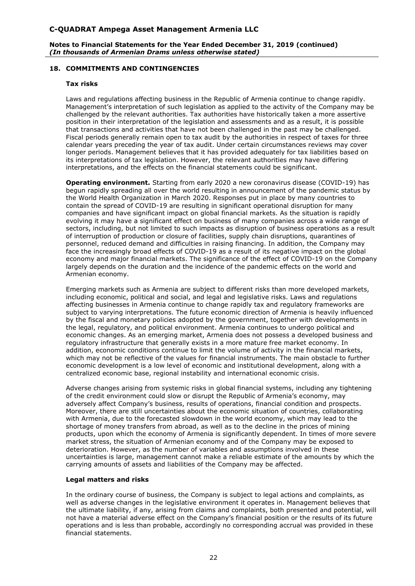### **Notes to Financial Statements for the Year Ended December 31, 2019 (continued)** *(In thousands of Armenian Drams unless otherwise stated)*

### <span id="page-23-0"></span>**18. COMMITMENTS AND CONTINGENCIES**

#### **Tax risks**

Laws and regulations affecting business in the Republic of Armenia continue to change rapidly. Management's interpretation of such legislation as applied to the activity of the Company may be challenged by the relevant authorities. Tax authorities have historically taken a more assertive position in their interpretation of the legislation and assessments and as a result, it is possible that transactions and activities that have not been challenged in the past may be challenged. Fiscal periods generally remain open to tax audit by the authorities in respect of taxes for three calendar years preceding the year of tax audit. Under certain circumstances reviews may cover longer periods. Management believes that it has provided adequately for tax liabilities based on its interpretations of tax legislation. However, the relevant authorities may have differing interpretations, and the effects on the financial statements could be significant.

**Operating environment.** Starting from early 2020 a new coronavirus disease (COVID-19) has begun rapidly spreading all over the world resulting in announcement of the pandemic status by the World Health Organization in March 2020. Responses put in place by many countries to contain the spread of COVID-19 are resulting in significant operational disruption for many companies and have significant impact on global financial markets. As the situation is rapidly evolving it may have a significant effect on business of many companies across a wide range of sectors, including, but not limited to such impacts as disruption of business operations as a result of interruption of production or closure of facilities, supply chain disruptions, quarantines of personnel, reduced demand and difficulties in raising financing. In addition, the Company may face the increasingly broad effects of COVID-19 as a result of its negative impact on the global economy and major financial markets. The significance of the effect of COVID-19 on the Company largely depends on the duration and the incidence of the pandemic effects on the world and Armenian economy.

Emerging markets such as Armenia are subject to different risks than more developed markets, including economic, political and social, and legal and legislative risks. Laws and regulations affecting businesses in Armenia continue to change rapidly tax and regulatory frameworks are subject to varying interpretations. The future economic direction of Armenia is heavily influenced by the fiscal and monetary policies adopted by the government, together with developments in the legal, regulatory, and political environment. Armenia continues to undergo political and economic changes. As an emerging market, Armenia does not possess a developed business and regulatory infrastructure that generally exists in a more mature free market economy. In addition, economic conditions continue to limit the volume of activity in the financial markets, which may not be reflective of the values for financial instruments. The main obstacle to further economic development is a low level of economic and institutional development, along with a centralized economic base, regional instability and international economic crisis.

Adverse changes arising from systemic risks in global financial systems, including any tightening of the credit environment could slow or disrupt the Republic of Armenia's economy, may adversely affect Company's business, results of operations, financial condition and prospects. Moreover, there are still uncertainties about the economic situation of countries, collaborating with Armenia, due to the forecasted slowdown in the world economy, which may lead to the shortage of money transfers from abroad, as well as to the decline in the prices of mining products, upon which the economy of Armenia is significantly dependent. In times of more severe market stress, the situation of Armenian economy and of the Company may be exposed to deterioration. However, as the number of variables and assumptions involved in these uncertainties is large, management cannot make a reliable estimate of the amounts by which the carrying amounts of assets and liabilities of the Company may be affected.

#### **Legal matters and risks**

In the ordinary course of business, the Company is subject to legal actions and complaints, as well as adverse changes in the legislative environment it operates in. Management believes that the ultimate liability, if any, arising from claims and complaints, both presented and potential, will not have a material adverse effect on the Company's financial position or the results of its future operations and is less than probable, accordingly no corresponding accrual was provided in these financial statements.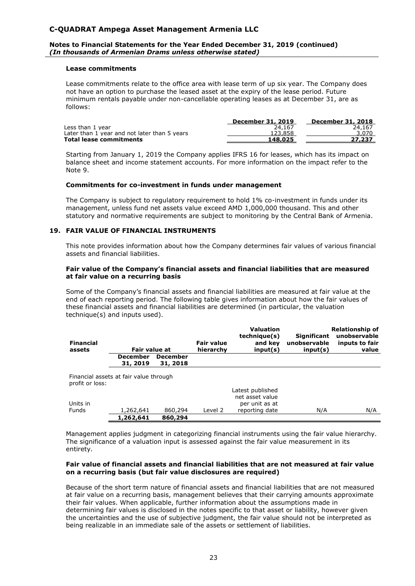### **Notes to Financial Statements for the Year Ended December 31, 2019 (continued)** *(In thousands of Armenian Drams unless otherwise stated)*

#### **Lease commitments**

Lease commitments relate to the office area with lease term of up six year. The Company does not have an option to purchase the leased asset at the expiry of the lease period. Future minimum rentals payable under non-cancellable operating leases as at December 31, are as follows:

|                                              | December 31, 2019 | December 31, 2018 |
|----------------------------------------------|-------------------|-------------------|
| Less than 1 year                             | 24.167            | 24,167            |
| Later than 1 year and not later than 5 years | 123.858           | 3,070             |
| <b>Total lease commitments</b>               | 148,025           | 27,237            |

Starting from January 1, 2019 the Company applies IFRS 16 for leases, which has its impact on balance sheet and income statement accounts. For more information on the impact refer to the Note 9.

### **Commitments for co-investment in funds under management**

The Company is subject to regulatory requirement to hold 1% co-investment in funds under its management, unless fund net assets value exceed AMD 1,000,000 thousand. This and other statutory and normative requirements are subject to monitoring by the Central Bank of Armenia.

### <span id="page-24-0"></span>**19. FAIR VALUE OF FINANCIAL INSTRUMENTS**

This note provides information about how the Company determines fair values of various financial assets and financial liabilities.

#### **Fair value of the Company's financial assets and financial liabilities that are measured at fair value on a recurring basis**

Some of the Company's financial assets and financial liabilities are measured at fair value at the end of each reporting period. The following table gives information about how the fair values of these financial assets and financial liabilities are determined (in particular, the valuation technique(s) and inputs used).

| <b>Financial</b><br>assets | Fair value at                          |                             | <b>Fair value</b><br>hierarchy | <b>Valuation</b><br>technique(s)<br>and key<br>input(s) | <b>Significant</b><br>unobservable<br>input(s) | <b>Relationship of</b><br>unobservable<br>inputs to fair<br>value |
|----------------------------|----------------------------------------|-----------------------------|--------------------------------|---------------------------------------------------------|------------------------------------------------|-------------------------------------------------------------------|
|                            | <b>December</b><br>31, 2019            | <b>December</b><br>31, 2018 |                                |                                                         |                                                |                                                                   |
| profit or loss:            | Financial assets at fair value through |                             |                                |                                                         |                                                |                                                                   |
|                            |                                        |                             |                                | Latest published                                        |                                                |                                                                   |
|                            |                                        |                             |                                | net asset value                                         |                                                |                                                                   |
| Units in                   |                                        |                             |                                | per unit as at                                          |                                                |                                                                   |
| <b>Funds</b>               | 1,262,641                              | 860,294                     | Level 2                        | reporting date                                          | N/A                                            | N/A                                                               |
|                            | 1,262,641                              | 860,294                     |                                |                                                         |                                                |                                                                   |

Management applies judgment in categorizing financial instruments using the fair value hierarchy. The significance of a valuation input is assessed against the fair value measurement in its entirety.

#### **Fair value of financial assets and financial liabilities that are not measured at fair value on a recurring basis (but fair value disclosures are required)**

Because of the short term nature of financial assets and financial liabilities that are not measured at fair value on a recurring basis, management believes that their carrying amounts approximate their fair values. When applicable, further information about the assumptions made in determining fair values is disclosed in the notes specific to that asset or liability, however given the uncertainties and the use of subjective judgment, the fair value should not be interpreted as being realizable in an immediate sale of the assets or settlement of liabilities.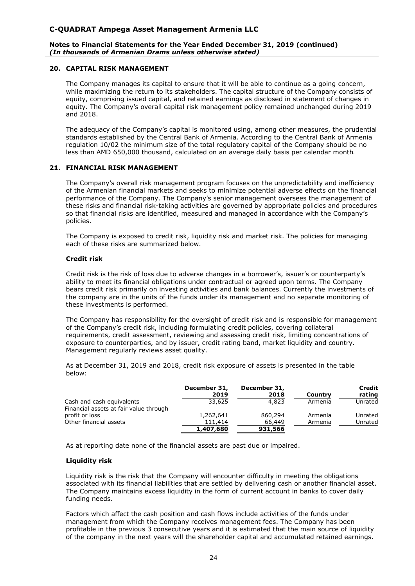### **Notes to Financial Statements for the Year Ended December 31, 2019 (continued)** *(In thousands of Armenian Drams unless otherwise stated)*

#### <span id="page-25-0"></span>**20. CAPITAL RISK MANAGEMENT**

The Company manages its capital to ensure that it will be able to continue as a going concern, while maximizing the return to its stakeholders. The capital structure of the Company consists of equity, comprising issued capital, and retained earnings as disclosed in statement of changes in equity. The Company's overall capital risk management policy remained unchanged during 2019 and 2018.

The adequacy of the Company's capital is monitored using, among other measures, the prudential standards established by the Central Bank of Armenia. According to the Central Bank of Armenia regulation 10/02 the minimum size of the total regulatory capital of the Company should be no less than AMD 650,000 thousand, calculated on an average daily basis per calendar month․

#### <span id="page-25-1"></span>**21. FINANCIAL RISK MANAGEMENT**

The Company's overall risk management program focuses on the unpredictability and inefficiency of the Armenian financial markets and seeks to minimize potential adverse effects on the financial performance of the Company. The Company's senior management oversees the management of these risks and financial risk-taking activities are governed by appropriate policies and procedures so that financial risks are identified, measured and managed in accordance with the Company's policies.

The Company is exposed to credit risk, liquidity risk and market risk. The policies for managing each of these risks are summarized below.

#### **Credit risk**

Credit risk is the risk of loss due to adverse changes in a borrower's, issuer's or counterparty's ability to meet its financial obligations under contractual or agreed upon terms. The Company bears credit risk primarily on investing activities and bank balances. Currently the investments of the company are in the units of the funds under its management and no separate monitoring of these investments is performed.

The Company has responsibility for the oversight of credit risk and is responsible for management of the Company's credit risk, including formulating credit policies, covering collateral requirements, credit assessment, reviewing and assessing credit risk, limiting concentrations of exposure to counterparties, and by issuer, credit rating band, market liquidity and country. Management regularly reviews asset quality.

As at December 31, 2019 and 2018, credit risk exposure of assets is presented in the table below:

|                                        | December 31,<br>2019 | December 31,<br>2018 | Country | Credit<br>rating |
|----------------------------------------|----------------------|----------------------|---------|------------------|
| Cash and cash equivalents              | 33,625               | 4,823                | Armenia | Unrated          |
| Financial assets at fair value through |                      |                      |         |                  |
| profit or loss                         | 1,262,641            | 860,294              | Armenia | Unrated          |
| Other financial assets                 | 111,414              | 66,449               | Armenia | Unrated          |
|                                        | 1,407,680            | 931,566              |         |                  |

As at reporting date none of the financial assets are past due or impaired.

#### **Liquidity risk**

Liquidity risk is the risk that the Company will encounter difficulty in meeting the obligations associated with its financial liabilities that are settled by delivering cash or another financial asset. The Company maintains excess liquidity in the form of current account in banks to cover daily funding needs.

Factors which affect the cash position and cash flows include activities of the funds under management from which the Company receives management fees. The Company has been profitable in the previous 3 consecutive years and it is estimated that the main source of liquidity of the company in the next years will the shareholder capital and accumulated retained earnings.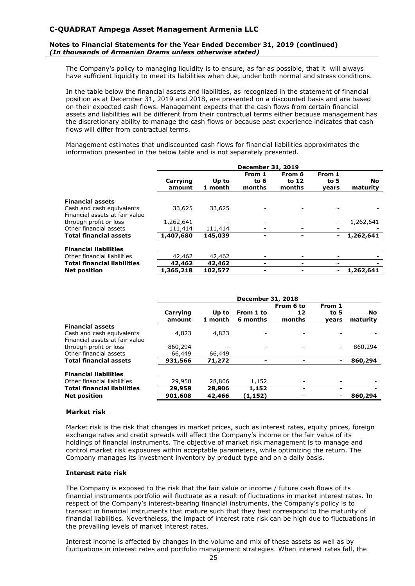### **Notes to Financial Statements for the Year Ended December 31, 2019 (continued)** *(In thousands of Armenian Drams unless otherwise stated)*

The Company's policy to managing liquidity is to ensure, as far as possible, that it will always have sufficient liquidity to meet its liabilities when due, under both normal and stress conditions.

In the table below the financial assets and liabilities, as recognized in the statement of financial position as at December 31, 2019 and 2018, are presented on a discounted basis and are based on their expected cash flows. Management expects that the cash flows from certain financial assets and liabilities will be different from their contractual terms either because management has the discretionary ability to manage the cash flows or because past experience indicates that cash flows will differ from contractual terms.

Management estimates that undiscounted cash flows for financial liabilities approximates the information presented in the below table and is not separately presented.

|                                                             | December 31, 2019  |                  |                          |                             |                         |                |  |
|-------------------------------------------------------------|--------------------|------------------|--------------------------|-----------------------------|-------------------------|----------------|--|
|                                                             | Carrying<br>amount | Up to<br>1 month | From 1<br>to 6<br>months | From 6<br>to $12$<br>months | From 1<br>to 5<br>vears | No<br>maturity |  |
| <b>Financial assets</b>                                     |                    |                  |                          |                             |                         |                |  |
| Cash and cash equivalents<br>Financial assets at fair value | 33,625             | 33,625           |                          |                             |                         |                |  |
| through profit or loss                                      | 1,262,641          |                  |                          |                             |                         | 1,262,641      |  |
| Other financial assets                                      | 111,414            | 111,414          |                          |                             |                         |                |  |
| <b>Total financial assets</b>                               | 1,407,680          | 145,039          |                          |                             | ۰                       | 1,262,641      |  |
| <b>Financial liabilities</b>                                |                    |                  |                          |                             |                         |                |  |
| Other financial liabilities                                 | 42,462             | 42,462           |                          |                             |                         |                |  |
| <b>Total financial liabilities</b>                          | 42,462             | 42,462           |                          |                             |                         |                |  |
| <b>Net position</b>                                         | 1,365,218          | 102,577          |                          |                             | Ξ.                      | 1,262,641      |  |

|                                                             | December 31, 2018  |                  |                       |                           |                         |                |  |  |
|-------------------------------------------------------------|--------------------|------------------|-----------------------|---------------------------|-------------------------|----------------|--|--|
|                                                             | Carrying<br>amount | Up to<br>1 month | From 1 to<br>6 months | From 6 to<br>12<br>months | From 1<br>to 5<br>vears | No<br>maturity |  |  |
| <b>Financial assets</b>                                     |                    |                  |                       |                           |                         |                |  |  |
| Cash and cash equivalents<br>Financial assets at fair value | 4,823              | 4,823            |                       | ۰                         |                         |                |  |  |
| through profit or loss                                      | 860,294            |                  |                       |                           |                         | 860,294        |  |  |
| Other financial assets                                      | 66,449             | 66,449           |                       |                           |                         |                |  |  |
| <b>Total financial assets</b>                               | 931,566            | 71,272           |                       | -                         |                         | 860,294        |  |  |
| <b>Financial liabilities</b>                                |                    |                  |                       |                           |                         |                |  |  |
| Other financial liabilities                                 | 29,958             | 28,806           | 1,152                 | -                         |                         |                |  |  |
| <b>Total financial liabilities</b>                          | 29,958             | 28,806           | 1,152                 | -                         |                         |                |  |  |
| <b>Net position</b>                                         | 901,608            | 42,466           | (1, 152)              |                           |                         | 860,294        |  |  |

### **Market risk**

Market risk is the risk that changes in market prices, such as interest rates, equity prices, foreign exchange rates and credit spreads will affect the Company's income or the fair value of its holdings of financial instruments. The objective of market risk management is to manage and control market risk exposures within acceptable parameters, while optimizing the return. The Company manages its investment inventory by product type and on a daily basis.

#### **Interest rate risk**

The Company is exposed to the risk that the fair value or income / future cash flows of its financial instruments portfolio will fluctuate as a result of fluctuations in market interest rates. In respect of the Company's interest-bearing financial instruments, the Company's policy is to transact in financial instruments that mature such that they best correspond to the maturity of financial liabilities. Nevertheless, the impact of interest rate risk can be high due to fluctuations in the prevailing levels of market interest rates.

Interest income is affected by changes in the volume and mix of these assets as well as by fluctuations in interest rates and portfolio management strategies. When interest rates fall, the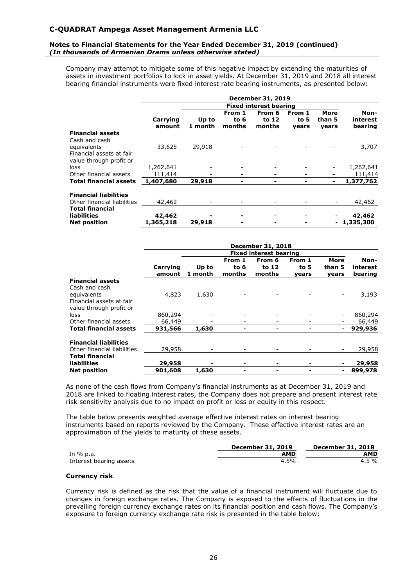### **Notes to Financial Statements for the Year Ended December 31, 2019 (continued)** *(In thousands of Armenian Drams unless otherwise stated)*

Company may attempt to mitigate some of this negative impact by extending the maturities of assets in investment portfolios to lock in asset yields. At December 31, 2019 and 2018 all interest bearing financial instruments were fixed interest rate bearing instruments, as presented below:

|                               | <b>December 31, 2019</b> |         |        |        |        |                          |           |
|-------------------------------|--------------------------|---------|--------|--------|--------|--------------------------|-----------|
|                               |                          |         |        |        |        |                          |           |
|                               |                          |         | From 1 | From 6 | From 1 | More                     | Non-      |
|                               | Carrying                 | Up to   | to 6   | to 12  | to 5   | than 5                   | interest  |
|                               | amount                   | 1 month | months | months | vears  | years                    | bearing   |
| <b>Financial assets</b>       |                          |         |        |        |        |                          |           |
| Cash and cash                 |                          |         |        |        |        |                          |           |
| equivalents                   | 33,625                   | 29,918  |        |        |        |                          | 3,707     |
| Financial assets at fair      |                          |         |        |        |        |                          |           |
| value through profit or       |                          |         |        |        |        |                          |           |
| loss                          | 1,262,641                |         |        |        |        |                          | 1,262,641 |
| Other financial assets        | 111,414                  |         |        |        |        |                          | 111,414   |
| <b>Total financial assets</b> | 1,407,680                | 29,918  |        |        |        | ۰                        | 1,377,762 |
|                               |                          |         |        |        |        |                          |           |
| <b>Financial liabilities</b>  |                          |         |        |        |        |                          |           |
| Other financial liabilities   | 42,462                   |         |        |        |        |                          | 42,462    |
| <b>Total financial</b>        |                          |         |        |        |        |                          |           |
| <b>liabilities</b>            | 42,462                   |         |        |        |        |                          | 42,462    |
| <b>Net position</b>           | 1,365,218                | 29,918  |        |        |        | $\overline{\phantom{a}}$ | 1,335,300 |

|                               |          |         |        | December 31, 2018 |        |        |          |
|-------------------------------|----------|---------|--------|-------------------|--------|--------|----------|
|                               |          |         |        |                   |        |        |          |
|                               |          |         | From 1 | From 6            | From 1 | More   | Non-     |
|                               | Carrying | Up to   | to 6   | to $12$           | to 5   | than 5 | interest |
|                               | amount   | 1 month | months | months            | vears  | vears  | bearing  |
| <b>Financial assets</b>       |          |         |        |                   |        |        |          |
| Cash and cash                 |          |         |        |                   |        |        |          |
| equivalents                   | 4,823    | 1,630   |        |                   |        |        | 3,193    |
| Financial assets at fair      |          |         |        |                   |        |        |          |
| value through profit or       |          |         |        |                   |        |        |          |
| loss                          | 860,294  |         |        |                   |        |        | 860,294  |
| Other financial assets        | 66,449   |         |        |                   |        |        | 66,449   |
| <b>Total financial assets</b> | 931,566  | 1,630   |        |                   |        |        | 929,936  |
| <b>Financial liabilities</b>  |          |         |        |                   |        |        |          |
| Other financial liabilities   | 29,958   |         |        |                   |        |        | 29,958   |
| <b>Total financial</b>        |          |         |        |                   |        |        |          |
| <b>liabilities</b>            | 29,958   |         |        |                   |        |        | 29,958   |
| <b>Net position</b>           | 901,608  | 1,630   |        |                   |        |        | 899,978  |

As none of the cash flows from Company's financial instruments as at December 31, 2019 and 2018 are linked to floating interest rates, the Company does not prepare and present interest rate risk sensitivity analysis due to no impact on profit or loss or equity in this respect.

The table below presents weighted average effective interest rates on interest bearing instruments based on reports reviewed by the Company. These effective interest rates are an approximation of the yields to maturity of these assets.

|                         | December 31, 2019 | December 31, 2018 |  |
|-------------------------|-------------------|-------------------|--|
| In % p.a.               | AMD               | AMD               |  |
| Interest bearing assets | 4.5%              | $4.5\%$           |  |

#### **Currency risk**

Currency risk is defined as the risk that the value of a financial instrument will fluctuate due to changes in foreign exchange rates. The Company is exposed to the effects of fluctuations in the prevailing foreign currency exchange rates on its financial position and cash flows. The Company's exposure to foreign currency exchange rate risk is presented in the table below: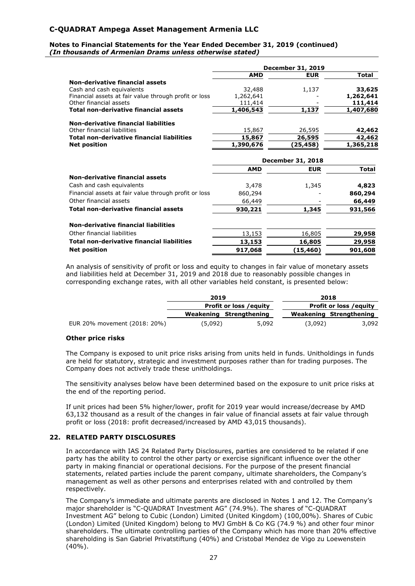#### **Notes to Financial Statements for the Year Ended December 31, 2019 (continued)** *(In thousands of Armenian Drams unless otherwise stated)*

|                                                       | <b>December 31, 2019</b> |            |           |  |
|-------------------------------------------------------|--------------------------|------------|-----------|--|
|                                                       | <b>AMD</b>               | <b>EUR</b> | Total     |  |
| Non-derivative financial assets                       |                          |            |           |  |
| Cash and cash equivalents                             | 32,488                   | 1,137      | 33,625    |  |
| Financial assets at fair value through profit or loss | 1,262,641                |            | 1,262,641 |  |
| Other financial assets                                | 111,414                  |            | 111,414   |  |
| <b>Total non-derivative financial assets</b>          | 1,406,543                | 1,137      | 1,407,680 |  |
| Non-derivative financial liabilities                  |                          |            |           |  |
| Other financial liabilities                           | 15,867                   | 26,595     | 42,462    |  |
| <b>Total non-derivative financial liabilities</b>     | 15,867                   | 26,595     | 42,462    |  |
| <b>Net position</b>                                   | 1,390,676                | (25,458)   | 1,365,218 |  |

|                                                       | <b>December 31, 2018</b> |            |              |  |
|-------------------------------------------------------|--------------------------|------------|--------------|--|
|                                                       | <b>AMD</b>               | <b>EUR</b> | <b>Total</b> |  |
| <b>Non-derivative financial assets</b>                |                          |            |              |  |
| Cash and cash equivalents                             | 3,478                    | 1,345      | 4,823        |  |
| Financial assets at fair value through profit or loss | 860,294                  |            | 860,294      |  |
| Other financial assets                                | 66,449                   |            | 66,449       |  |
| <b>Total non-derivative financial assets</b>          | 930,221                  | 1,345      | 931,566      |  |
| Non-derivative financial liabilities                  |                          |            |              |  |
| Other financial liabilities                           | 13,153                   | 16,805     | 29,958       |  |
| <b>Total non-derivative financial liabilities</b>     | 13,153                   | 16,805     | 29,958       |  |
| <b>Net position</b>                                   | 917,068                  | (15,460)   | 901,608      |  |

An analysis of sensitivity of profit or loss and equity to changes in fair value of monetary assets and liabilities held at December 31, 2019 and 2018 due to reasonably possible changes in corresponding exchange rates, with all other variables held constant, is presented below:

|                              | 2019    |                                |         | 2018                           |
|------------------------------|---------|--------------------------------|---------|--------------------------------|
|                              |         | <b>Profit or loss / equity</b> |         | <b>Profit or loss / equity</b> |
|                              |         | Weakening Strengthening        |         | Weakening Strengthening        |
| EUR 20% movement (2018: 20%) | (5,092) | 5.092                          | (3,092) | 3,092                          |

### **Other price risks**

The Company is exposed to unit price risks arising from units held in funds. Unitholdings in funds are held for statutory, strategic and investment purposes rather than for trading purposes. The Company does not actively trade these unitholdings.

The sensitivity analyses below have been determined based on the exposure to unit price risks at the end of the reporting period.

If unit prices had been 5% higher/lower, profit for 2019 year would increase/decrease by AMD 63,132 thousand as a result of the changes in fair value of financial assets at fair value through profit or loss (2018: profit decreased/increased by AMD 43,015 thousands).

## <span id="page-28-0"></span>**22. RELATED PARTY DISCLOSURES**

In accordance with IAS 24 Related Party Disclosures, parties are considered to be related if one party has the ability to control the other party or exercise significant influence over the other party in making financial or operational decisions. For the purpose of the present financial statements, related parties include the parent company, ultimate shareholders, the Company's management as well as other persons and enterprises related with and controlled by them respectively.

The Company's immediate and ultimate parents are disclosed in Notes 1 and 12. The Company's major shareholder is "C-QUADRAT Investment AG" (74.9%). The shares of "C-QUADRAT Investment AG" belong to Cubic (London) Limited (United Kingdom) (100,00%). Shares of Cubic (London) Limited (United Kingdom) belong to MVJ GmbH & Co KG (74.9 %) and other four minor shareholders. The ultimate controlling parties of the Company which has more than 20% effective shareholding is San Gabriel Privatstiftung (40%) and Cristobal Mendez de Vigo zu Loewenstein (40%).